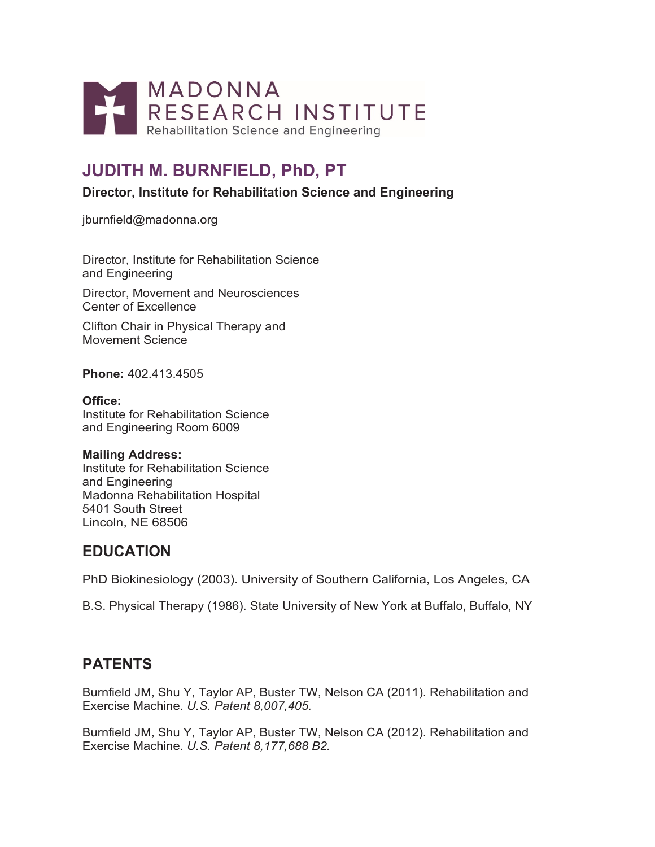

# **JUDITH M. BURNFIELD, PhD, PT**

**Director, Institute for Rehabilitation Science and Engineering**

[jburnfield@madonna.org](mailto:jburnfield@madonna.org)

Director, Institute for Rehabilitation Science and Engineering

Director, Movement and Neurosciences Center of Excellence

Clifton Chair in Physical Therapy and Movement Science

**Phone:** 402.413.4505

**Office:** Institute for Rehabilitation Science and Engineering Room 6009

#### **Mailing Address:**

Institute for Rehabilitation Science and Engineering Madonna Rehabilitation Hospital 5401 South Street Lincoln, NE 68506

### **EDUCATION**

PhD Biokinesiology (2003). University of Southern California, Los Angeles, CA

B.S. Physical Therapy (1986). State University of New York at Buffalo, Buffalo, NY

## **PATENTS**

Burnfield JM, Shu Y, Taylor AP, Buster TW, Nelson CA (2011). Rehabilitation and Exercise Machine. *U.S. Patent 8,007,405.*

Burnfield JM, Shu Y, Taylor AP, Buster TW, Nelson CA (2012). Rehabilitation and Exercise Machine. *U.S. Patent 8,177,688 B2.*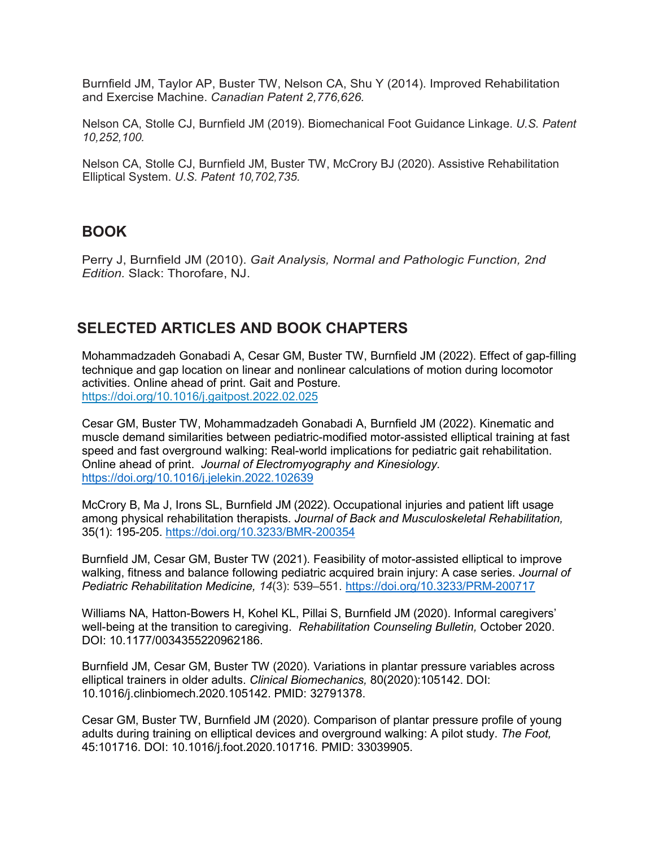Burnfield JM, Taylor AP, Buster TW, Nelson CA, Shu Y (2014). Improved Rehabilitation and Exercise Machine. *Canadian Patent 2,776,626.*

Nelson CA, Stolle CJ, Burnfield JM (2019). Biomechanical Foot Guidance Linkage. *U.S. Patent 10,252,100.*

Nelson CA, Stolle CJ, Burnfield JM, Buster TW, McCrory BJ (2020). Assistive Rehabilitation Elliptical System. *U.S. Patent 10,702,735.*

#### **BOOK**

Perry J, Burnfield JM (2010). *Gait Analysis, Normal and Pathologic Function, 2nd Edition.* Slack: Thorofare, NJ.

#### **SELECTED ARTICLES AND BOOK CHAPTERS**

Mohammadzadeh Gonabadi A, Cesar GM, Buster TW, Burnfield JM (2022). Effect of gap-filling technique and gap location on linear and nonlinear calculations of motion during locomotor activities. Online ahead of print. Gait and Posture. <https://doi.org/10.1016/j.gaitpost.2022.02.025>

Cesar GM, Buster TW, Mohammadzadeh Gonabadi A, Burnfield JM (2022). Kinematic and muscle demand similarities between pediatric-modified motor-assisted elliptical training at fast speed and fast overground walking: Real-world implications for pediatric gait rehabilitation. Online ahead of print. *Journal of Electromyography and Kinesiology.*  <https://doi.org/10.1016/j.jelekin.2022.102639>

McCrory B, Ma J, Irons SL, Burnfield JM (2022). Occupational injuries and patient lift usage among physical rehabilitation therapists. *Journal of Back and Musculoskeletal Rehabilitation,* 35(1): 195-205.<https://doi.org/10.3233/BMR-200354>

Burnfield JM, Cesar GM, Buster TW (2021). Feasibility of motor-assisted elliptical to improve walking, fitness and balance following pediatric acquired brain injury: A case series. *Journal of Pediatric Rehabilitation Medicine, 14*(3): 539–551.<https://doi.org/10.3233/PRM-200717>

Williams NA, Hatton-Bowers H, Kohel KL, Pillai S, Burnfield JM (2020). Informal caregivers' well-being at the transition to caregiving. *Rehabilitation Counseling Bulletin,* October 2020. DOI: 10.1177/0034355220962186.

Burnfield JM, Cesar GM, Buster TW (2020). Variations in plantar pressure variables across elliptical trainers in older adults. *Clinical Biomechanics,* 80(2020):105142. DOI: 10.1016/j.clinbiomech.2020.105142. PMID: 32791378.

Cesar GM, Buster TW, Burnfield JM (2020). Comparison of plantar pressure profile of young adults during training on elliptical devices and overground walking: A pilot study. *The Foot,* 45:101716. DOI: 10.1016/j.foot.2020.101716. PMID: 33039905.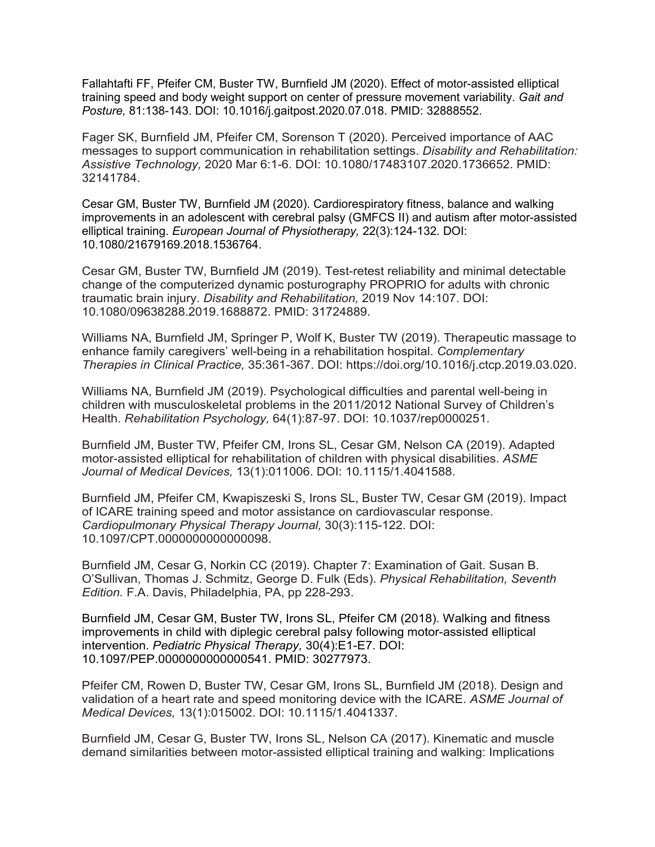Fallahtafti FF, Pfeifer CM, Buster TW, Burnfield JM (2020). Effect of motor-assisted elliptical training speed and body weight support on center of pressure movement variability. *Gait and Posture,* 81:138-143. DOI: 10.1016/j.gaitpost.2020.07.018. PMID: 32888552.

Fager SK, Burnfield JM, Pfeifer CM, Sorenson T (2020). Perceived importance of AAC messages to support communication in rehabilitation settings. *Disability and Rehabilitation: Assistive Technology,* 2020 Mar 6:1-6. DOI: 10.1080/17483107.2020.1736652. PMID: 32141784.

Cesar GM, Buster TW, Burnfield JM (2020). Cardiorespiratory fitness, balance and walking improvements in an adolescent with cerebral palsy (GMFCS II) and autism after motor-assisted elliptical training. *European Journal of Physiotherapy,* 22(3):124-132. DOI: 10.1080/21679169.2018.1536764.

Cesar GM, Buster TW, Burnfield JM (2019). Test-retest reliability and minimal detectable change of the computerized dynamic posturography PROPRIO for adults with chronic traumatic brain injury. *Disability and Rehabilitation,* 2019 Nov 14:107. DOI: 10.1080/09638288.2019.1688872. PMID: 31724889.

Williams NA, Burnfield JM, Springer P, Wolf K, Buster TW (2019). Therapeutic massage to enhance family caregivers' well-being in a rehabilitation hospital. *Complementary Therapies in Clinical Practice,* 35:361-367. DOI: [https://doi.org/10.1016/j.ctcp.2019.03.020.](https://doi.org/10.1016/j.ctcp.2019.03.020)

Williams NA, Burnfield JM (2019). Psychological difficulties and parental well-being in children with musculoskeletal problems in the 2011/2012 National Survey of Children's Health. *Rehabilitation Psychology,* 64(1):87-97. DOI: 10.1037/rep0000251.

Burnfield JM, Buster TW, Pfeifer CM, Irons SL, Cesar GM, Nelson CA (2019). Adapted motor-assisted elliptical for rehabilitation of children with physical disabilities. *ASME Journal of Medical Devices,* 13(1):011006. DOI: 10.1115/1.4041588.

Burnfield JM, Pfeifer CM, Kwapiszeski S, Irons SL, Buster TW, Cesar GM (2019). Impact of ICARE training speed and motor assistance on cardiovascular response. *Cardiopulmonary Physical Therapy Journal,* 30(3):115-122. DOI: 10.1097/CPT.0000000000000098.

Burnfield JM, Cesar G, Norkin CC (2019). Chapter 7: Examination of Gait. Susan B. O'Sullivan, Thomas J. Schmitz, George D. Fulk (Eds). *Physical Rehabilitation, Seventh Edition.* F.A. Davis, Philadelphia, PA, pp 228-293.

Burnfield JM, Cesar GM, Buster TW, Irons SL, Pfeifer CM (2018). Walking and fitness improvements in child with diplegic cerebral palsy following motor-assisted elliptical intervention. *Pediatric Physical Therapy,* 30(4):E1-E7. DOI: 10.1097/PEP.0000000000000541. PMID: 30277973.

Pfeifer CM, Rowen D, Buster TW, Cesar GM, Irons SL, Burnfield JM (2018). Design and validation of a heart rate and speed monitoring device with the ICARE. *ASME Journal of Medical Devices,* 13(1):015002. DOI: 10.1115/1.4041337.

Burnfield JM, Cesar G, Buster TW, Irons SL, Nelson CA (2017). Kinematic and muscle demand similarities between motor-assisted elliptical training and walking: Implications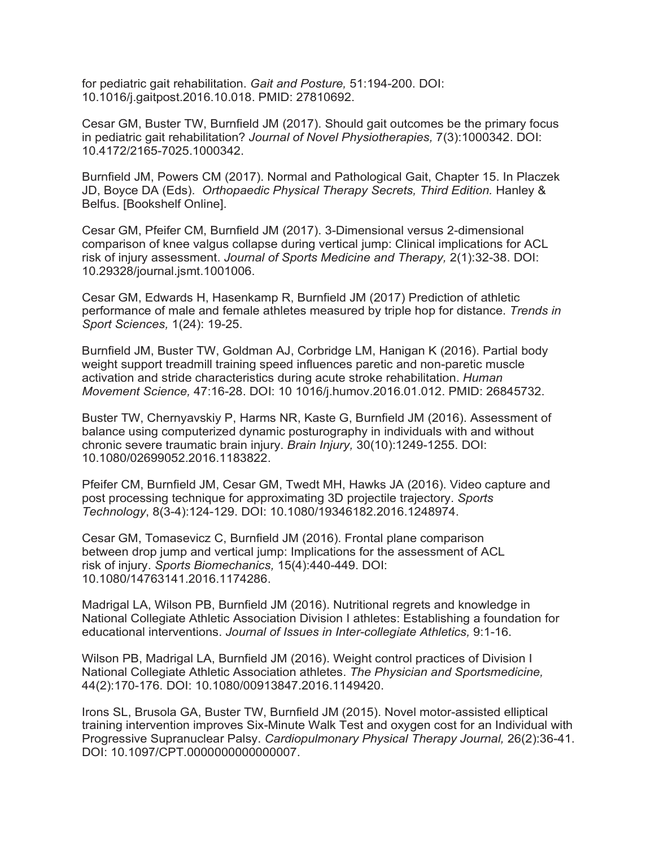for pediatric gait rehabilitation. *Gait and Posture,* 51:194-200. DOI: 10.1016/j.gaitpost.2016.10.018. PMID: 27810692.

Cesar GM, Buster TW, Burnfield JM (2017). Should gait outcomes be the primary focus in pediatric gait rehabilitation? *Journal of Novel Physiotherapies,* 7(3):1000342. DOI: 10.4172/2165-7025.1000342.

Burnfield JM, Powers CM (2017). Normal and Pathological Gait, Chapter 15. In Placzek JD, Boyce DA (Eds). *Orthopaedic Physical Therapy Secrets, Third Edition.* Hanley & Belfus. [Bookshelf Online].

Cesar GM, Pfeifer CM, Burnfield JM (2017). 3-Dimensional versus 2-dimensional comparison of knee valgus collapse during vertical jump: Clinical implications for ACL risk of injury assessment. *Journal of Sports Medicine and Therapy,* 2(1):32-38. DOI: 10.29328/journal.jsmt.1001006.

Cesar GM, Edwards H, Hasenkamp R, Burnfield JM (2017) Prediction of athletic performance of male and female athletes measured by triple hop for distance. *Trends in Sport Sciences,* 1(24): 19-25.

Burnfield JM, Buster TW, Goldman AJ, Corbridge LM, Hanigan K (2016). Partial body weight support treadmill training speed influences paretic and non-paretic muscle activation and stride characteristics during acute stroke rehabilitation. *Human Movement Science,* 47:16-28. DOI: 10 1016/j.humov.2016.01.012. PMID: 26845732.

Buster TW, Chernyavskiy P, Harms NR, Kaste G, Burnfield JM (2016). Assessment of balance using computerized dynamic posturography in individuals with and without chronic severe traumatic brain injury. *Brain Injury,* 30(10):1249-1255. DOI: 10.1080/02699052.2016.1183822.

Pfeifer CM, Burnfield JM, Cesar GM, Twedt MH, Hawks JA (2016). Video capture and post processing technique for approximating 3D projectile trajectory. *Sports Technology*, 8(3-4):124-129. DOI: 10.1080/19346182.2016.1248974.

Cesar GM, Tomasevicz C, Burnfield JM (2016). Frontal plane comparison between drop jump and vertical jump: Implications for the assessment of ACL risk of injury. *Sports Biomechanics,* 15(4):440-449. DOI: 10.1080/14763141.2016.1174286.

Madrigal LA, Wilson PB, Burnfield JM (2016). Nutritional regrets and knowledge in National Collegiate Athletic Association Division I athletes: Establishing a foundation for educational interventions. *Journal of Issues in Inter-collegiate Athletics,* 9:1-16.

Wilson PB, Madrigal LA, Burnfield JM (2016). Weight control practices of Division I National Collegiate Athletic Association athletes. *The Physician and Sportsmedicine,* 44(2):170-176. DOI: 10.1080/00913847.2016.1149420.

Irons SL, Brusola GA, Buster TW, Burnfield JM (2015). Novel motor-assisted elliptical training intervention improves Six-Minute Walk Test and oxygen cost for an Individual with Progressive Supranuclear Palsy. *Cardiopulmonary Physical Therapy Journal,* 26(2):36-41. DOI: 10.1097/CPT.0000000000000007.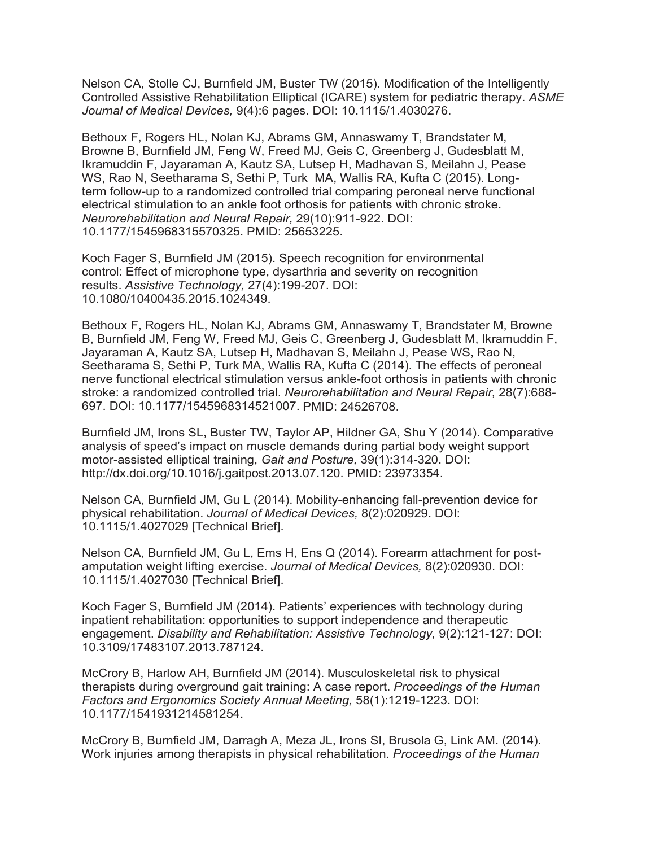Nelson CA, Stolle CJ, Burnfield JM, Buster TW (2015). Modification of the Intelligently Controlled Assistive Rehabilitation Elliptical (ICARE) system for pediatric therapy. *ASME Journal of Medical Devices,* 9(4):6 pages. DOI: 10.1115/1.4030276.

Bethoux F, Rogers HL, Nolan KJ, Abrams GM, Annaswamy T, Brandstater M, Browne B, Burnfield JM, Feng W, Freed MJ, Geis C, Greenberg J, Gudesblatt M, Ikramuddin F, Jayaraman A, Kautz SA, Lutsep H, Madhavan S, Meilahn J, Pease WS, Rao N, Seetharama S, Sethi P, Turk MA, Wallis RA, Kufta C (2015). Longterm follow-up to a randomized controlled trial comparing peroneal nerve functional electrical stimulation to an ankle foot orthosis for patients with chronic stroke. *Neurorehabilitation and Neural Repair,* 29(10):911-922. DOI: 10.1177/1545968315570325. PMID: 25653225.

Koch Fager S, Burnfield JM (2015). Speech recognition for environmental control: Effect of microphone type, dysarthria and severity on recognition results. *Assistive Technology,* 27(4):199-207. DOI: 10.1080/10400435.2015.1024349.

Bethoux F, Rogers HL, Nolan KJ, Abrams GM, Annaswamy T, Brandstater M, Browne B, Burnfield JM, Feng W, Freed MJ, Geis C, Greenberg J, Gudesblatt M, Ikramuddin F, Jayaraman A, Kautz SA, Lutsep H, Madhavan S, Meilahn J, Pease WS, Rao N, Seetharama S, Sethi P, Turk MA, Wallis RA, Kufta C (2014). The effects of peroneal nerve functional electrical stimulation versus ankle-foot orthosis in patients with chronic stroke: a randomized controlled trial. *Neurorehabilitation and Neural Repair,* 28(7):688- 697. DOI: 10.1177/1545968314521007. PMID: 24526708.

Burnfield JM, Irons SL, Buster TW, Taylor AP, Hildner GA, Shu Y (2014). Comparative analysis of speed's impact on muscle demands during partial body weight support motor-assisted elliptical training, *Gait and Posture,* 39(1):314-320. DOI: [http://dx.doi.org/10.1016/j.gaitpost.2013.07.120.](http://dx.doi.org/10.1016/j.gaitpost.2013.07.120) PMID: 23973354.

Nelson CA, Burnfield JM, Gu L (2014). Mobility-enhancing fall-prevention device for physical rehabilitation. *Journal of Medical Devices,* 8(2):020929. DOI: 10.1115/1.4027029 [Technical Brief].

Nelson CA, Burnfield JM, Gu L, Ems H, Ens Q (2014). Forearm attachment for postamputation weight lifting exercise. *Journal of Medical Devices,* 8(2):020930. DOI: 10.1115/1.4027030 [Technical Brief].

Koch Fager S, Burnfield JM (2014). Patients' experiences with technology during inpatient rehabilitation: opportunities to support independence and therapeutic engagement. *Disability and Rehabilitation: Assistive Technology,* 9(2):121-127: DOI: 10.3109/17483107.2013.787124.

McCrory B, Harlow AH, Burnfield JM (2014). Musculoskeletal risk to physical therapists during overground gait training: A case report. *Proceedings of the Human Factors and Ergonomics Society Annual Meeting,* 58(1):1219-1223. DOI: 10.1177/1541931214581254.

McCrory B, Burnfield JM, Darragh A, Meza JL, Irons SI, Brusola G, Link AM. (2014). Work injuries among therapists in physical rehabilitation. *Proceedings of the Human*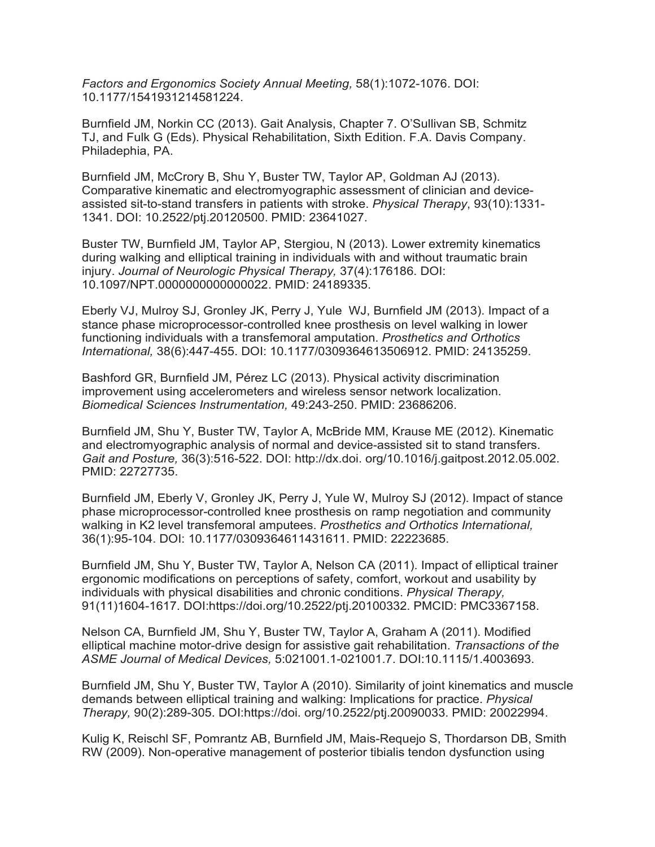*Factors and Ergonomics Society Annual Meeting,* 58(1):1072-1076. DOI: 10.1177/1541931214581224.

Burnfield JM, Norkin CC (2013). Gait Analysis, Chapter 7. O'Sullivan SB, Schmitz TJ, and Fulk G (Eds). Physical Rehabilitation, Sixth Edition. F.A. Davis Company. Philadephia, PA.

Burnfield JM, McCrory B, Shu Y, Buster TW, Taylor AP, Goldman AJ (2013). Comparative kinematic and electromyographic assessment of clinician and deviceassisted sit-to-stand transfers in patients with stroke. *Physical Therapy*, 93(10):1331- 1341. DOI: 10.2522/ptj.20120500. PMID: 23641027.

Buster TW, Burnfield JM, Taylor AP, Stergiou, N (2013). Lower extremity kinematics during walking and elliptical training in individuals with and without traumatic brain injury. *Journal of Neurologic Physical Therapy,* 37(4):176186. DOI: 10.1097/NPT.0000000000000022. PMID: 24189335.

Eberly VJ, Mulroy SJ, Gronley JK, Perry J, Yule WJ, Burnfield JM (2013). Impact of a stance phase microprocessor-controlled knee prosthesis on level walking in lower functioning individuals with a transfemoral amputation. *Prosthetics and Orthotics International,* 38(6):447-455. DOI: 10.1177/0309364613506912. PMID: 24135259.

Bashford GR, Burnfield JM, Pérez LC (2013). Physical activity discrimination improvement using accelerometers and wireless sensor network localization. *Biomedical Sciences Instrumentation,* 49:243-250. PMID: 23686206.

Burnfield JM, Shu Y, Buster TW, Taylor A, McBride MM, Krause ME (2012). Kinematic and electromyographic analysis of normal and device-assisted sit to stand transfers. *Gait and Posture,* 36(3):516-522. DOI: [http://dx.doi.](http://dx.doi/) org/10.1016/j.gaitpost.2012.05.002. PMID: 22727735.

Burnfield JM, Eberly V, Gronley JK, Perry J, Yule W, Mulroy SJ (2012). Impact of stance phase microprocessor-controlled knee prosthesis on ramp negotiation and community walking in K2 level transfemoral amputees. *Prosthetics and Orthotics International,* 36(1):95-104. DOI: 10.1177/0309364611431611. PMID: 22223685.

Burnfield JM, Shu Y, Buster TW, Taylor A, Nelson CA (2011). Impact of elliptical trainer ergonomic modifications on perceptions of safety, comfort, workout and usability by individuals with physical disabilities and chronic conditions. *Physical Therapy,* 91(11)1604-1617. DOI:https://doi.org/10.2522/ptj.20100332. PMCID: PMC3367158.

Nelson CA, Burnfield JM, Shu Y, Buster TW, Taylor A, Graham A (2011). Modified elliptical machine motor-drive design for assistive gait rehabilitation. *Transactions of the ASME Journal of Medical Devices,* 5:021001.1-021001.7. DOI:10.1115/1.4003693.

Burnfield JM, Shu Y, Buster TW, Taylor A (2010). Similarity of joint kinematics and muscle demands between elliptical training and walking: Implications for practice. *Physical Therapy,* 90(2):289-305. DOI:https://doi. org/10.2522/ptj.20090033. PMID: 20022994.

Kulig K, Reischl SF, Pomrantz AB, Burnfield JM, Mais-Requejo S, Thordarson DB, Smith RW (2009). Non-operative management of posterior tibialis tendon dysfunction using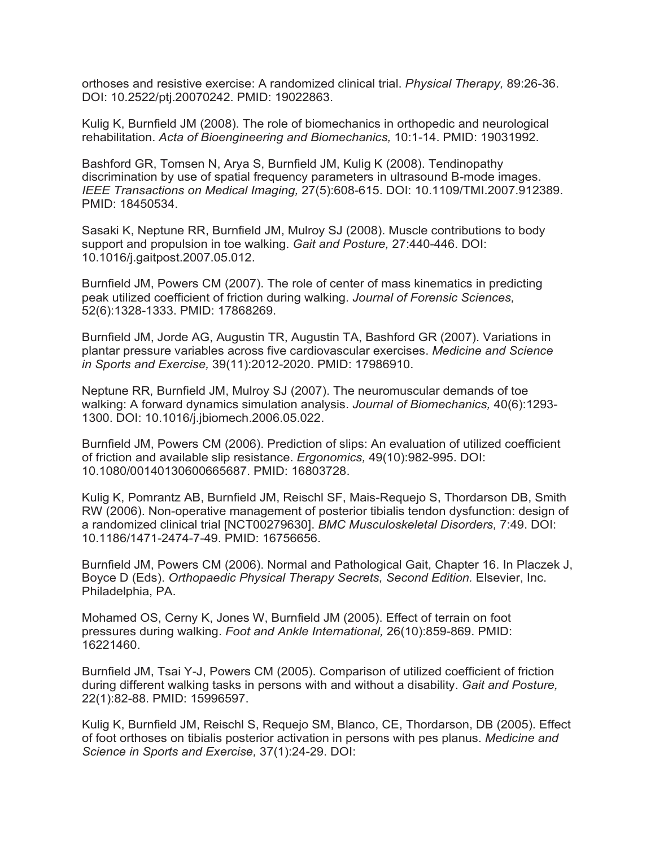orthoses and resistive exercise: A randomized clinical trial. *Physical Therapy,* 89:26-36. DOI: 10.2522/ptj.20070242. PMID: 19022863.

Kulig K, Burnfield JM (2008). The role of biomechanics in orthopedic and neurological rehabilitation. *Acta of Bioengineering and Biomechanics,* 10:1-14. PMID: 19031992.

Bashford GR, Tomsen N, Arya S, Burnfield JM, Kulig K (2008). Tendinopathy discrimination by use of spatial frequency parameters in ultrasound B-mode images. *IEEE Transactions on Medical Imaging,* 27(5):608-615. DOI: 10.1109/TMI.2007.912389. PMID: 18450534.

Sasaki K, Neptune RR, Burnfield JM, Mulroy SJ (2008). Muscle contributions to body support and propulsion in toe walking. *Gait and Posture,* 27:440-446. DOI: 10.1016/j.gaitpost.2007.05.012.

Burnfield JM, Powers CM (2007). The role of center of mass kinematics in predicting peak utilized coefficient of friction during walking. *Journal of Forensic Sciences,*  52(6):1328-1333. PMID: 17868269.

Burnfield JM, Jorde AG, Augustin TR, Augustin TA, Bashford GR (2007). Variations in plantar pressure variables across five cardiovascular exercises. *Medicine and Science in Sports and Exercise,* 39(11):2012-2020. PMID: 17986910.

Neptune RR, Burnfield JM, Mulroy SJ (2007). The neuromuscular demands of toe walking: A forward dynamics simulation analysis. *Journal of Biomechanics,* 40(6):1293- 1300. DOI: 10.1016/j.jbiomech.2006.05.022.

Burnfield JM, Powers CM (2006). Prediction of slips: An evaluation of utilized coefficient of friction and available slip resistance. *Ergonomics,* 49(10):982-995. DOI: 10.1080/00140130600665687. PMID: 16803728.

Kulig K, Pomrantz AB, Burnfield JM, Reischl SF, Mais-Requejo S, Thordarson DB, Smith RW (2006). Non-operative management of posterior tibialis tendon dysfunction: design of a randomized clinical trial [NCT00279630]. *BMC Musculoskeletal Disorders,* 7:49. DOI: 10.1186/1471-2474-7-49. PMID: 16756656.

Burnfield JM, Powers CM (2006). Normal and Pathological Gait, Chapter 16. In Placzek J, Boyce D (Eds). *Orthopaedic Physical Therapy Secrets, Second Edition.* Elsevier, Inc. Philadelphia, PA.

Mohamed OS, Cerny K, Jones W, Burnfield JM (2005). Effect of terrain on foot pressures during walking. *Foot and Ankle International,* 26(10):859-869. PMID: 16221460.

Burnfield JM, Tsai Y-J, Powers CM (2005). Comparison of utilized coefficient of friction during different walking tasks in persons with and without a disability. *Gait and Posture,* 22(1):82-88. PMID: 15996597.

Kulig K, Burnfield JM, Reischl S, Requejo SM, Blanco, CE, Thordarson, DB (2005). Effect of foot orthoses on tibialis posterior activation in persons with pes planus. *Medicine and Science in Sports and Exercise,* 37(1):24-29. DOI: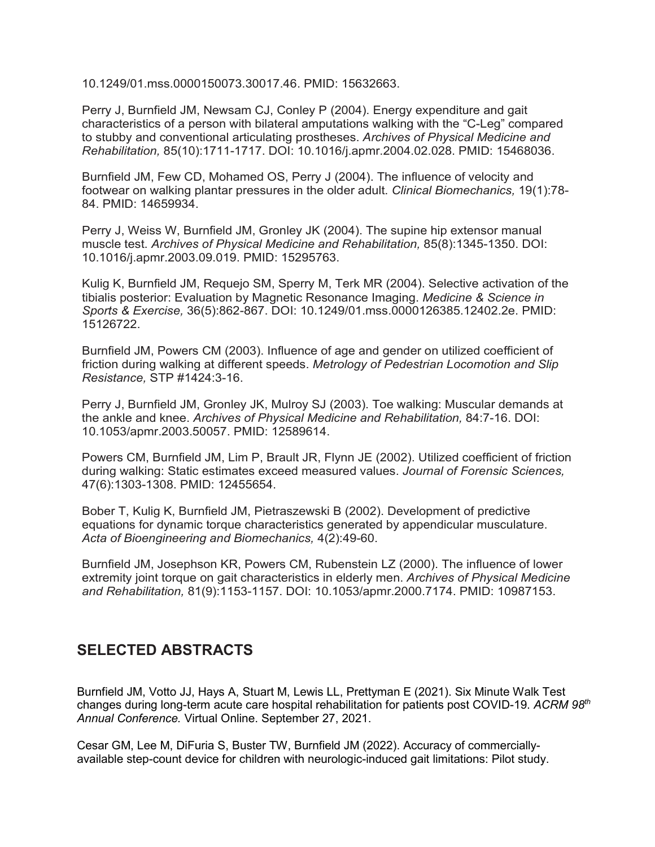10.1249/01.mss.0000150073.30017.46. PMID: 15632663.

Perry J, Burnfield JM, Newsam CJ, Conley P (2004). Energy expenditure and gait characteristics of a person with bilateral amputations walking with the "C-Leg" compared to stubby and conventional articulating prostheses. *Archives of Physical Medicine and Rehabilitation,* 85(10):1711-1717. DOI: 10.1016/j.apmr.2004.02.028. PMID: 15468036.

Burnfield JM, Few CD, Mohamed OS, Perry J (2004). The influence of velocity and footwear on walking plantar pressures in the older adult. *Clinical Biomechanics,* 19(1):78- 84. PMID: 14659934.

Perry J, Weiss W, Burnfield JM, Gronley JK (2004). The supine hip extensor manual muscle test. *Archives of Physical Medicine and Rehabilitation,* 85(8):1345-1350. DOI: 10.1016/j.apmr.2003.09.019. PMID: 15295763.

Kulig K, Burnfield JM, Requejo SM, Sperry M, Terk MR (2004). Selective activation of the tibialis posterior: Evaluation by Magnetic Resonance Imaging. *Medicine & Science in Sports & Exercise,* 36(5):862-867. DOI: 10.1249/01.mss.0000126385.12402.2e. PMID: 15126722.

Burnfield JM, Powers CM (2003). Influence of age and gender on utilized coefficient of friction during walking at different speeds. *Metrology of Pedestrian Locomotion and Slip Resistance,* STP #1424:3-16.

Perry J, Burnfield JM, Gronley JK, Mulroy SJ (2003). Toe walking: Muscular demands at the ankle and knee. *Archives of Physical Medicine and Rehabilitation,* 84:7-16. DOI: 10.1053/apmr.2003.50057. PMID: 12589614.

Powers CM, Burnfield JM, Lim P, Brault JR, Flynn JE (2002). Utilized coefficient of friction during walking: Static estimates exceed measured values. *Journal of Forensic Sciences,* 47(6):1303-1308. PMID: 12455654.

Bober T, Kulig K, Burnfield JM, Pietraszewski B (2002). Development of predictive equations for dynamic torque characteristics generated by appendicular musculature. *Acta of Bioengineering and Biomechanics,* 4(2):49-60.

Burnfield JM, Josephson KR, Powers CM, Rubenstein LZ (2000). The influence of lower extremity joint torque on gait characteristics in elderly men. *Archives of Physical Medicine and Rehabilitation,* 81(9):1153-1157. DOI: 10.1053/apmr.2000.7174. PMID: 10987153.

#### **SELECTED ABSTRACTS**

Burnfield JM, Votto JJ, Hays A, Stuart M, Lewis LL, Prettyman E (2021). Six Minute Walk Test changes during long-term acute care hospital rehabilitation for patients post COVID-19. *ACRM 98th Annual Conference.* Virtual Online. September 27, 2021.

Cesar GM, Lee M, DiFuria S, Buster TW, Burnfield JM (2022). Accuracy of commerciallyavailable step-count device for children with neurologic-induced gait limitations: Pilot study.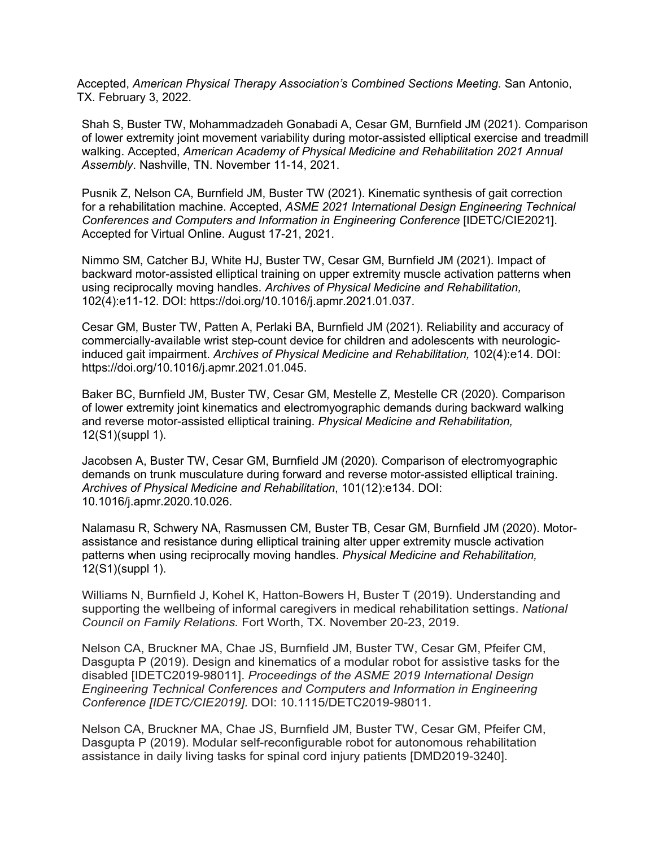Accepted, *American Physical Therapy Association's Combined Sections Meeting*. San Antonio, TX. February 3, 2022.

Shah S, Buster TW, Mohammadzadeh Gonabadi A, Cesar GM, Burnfield JM (2021). Comparison of lower extremity joint movement variability during motor-assisted elliptical exercise and treadmill walking. Accepted, *American Academy of Physical Medicine and Rehabilitation 2021 Annual Assembly*. Nashville, TN. November 11-14, 2021.

Pusnik Z, Nelson CA, Burnfield JM, Buster TW (2021). Kinematic synthesis of gait correction for a rehabilitation machine. Accepted, *ASME 2021 International Design Engineering Technical Conferences and Computers and Information in Engineering Conference* [IDETC/CIE2021]. Accepted for Virtual Online. August 17-21, 2021.

Nimmo SM, Catcher BJ, White HJ, Buster TW, Cesar GM, Burnfield JM (2021). Impact of backward motor-assisted elliptical training on upper extremity muscle activation patterns when using reciprocally moving handles. *Archives of Physical Medicine and Rehabilitation,* 102(4):e11-12. DOI: https://doi.org/10.1016/j.apmr.2021.01.037.

Cesar GM, Buster TW, Patten A, Perlaki BA, Burnfield JM (2021). Reliability and accuracy of commercially-available wrist step-count device for children and adolescents with neurologicinduced gait impairment. *Archives of Physical Medicine and Rehabilitation,* 102(4):e14. DOI: https://doi.org/10.1016/j.apmr.2021.01.045.

Baker BC, Burnfield JM, Buster TW, Cesar GM, Mestelle Z, Mestelle CR (2020). Comparison of lower extremity joint kinematics and electromyographic demands during backward walking and reverse motor-assisted elliptical training. *Physical Medicine and Rehabilitation,* 12(S1)(suppl 1).

Jacobsen A, Buster TW, Cesar GM, Burnfield JM (2020). Comparison of electromyographic demands on trunk musculature during forward and reverse motor-assisted elliptical training. *Archives of Physical Medicine and Rehabilitation*, 101(12):e134. DOI: 10.1016/j.apmr.2020.10.026.

Nalamasu R, Schwery NA, Rasmussen CM, Buster TB, Cesar GM, Burnfield JM (2020). Motorassistance and resistance during elliptical training alter upper extremity muscle activation patterns when using reciprocally moving handles. *Physical Medicine and Rehabilitation,* 12(S1)(suppl 1).

Williams N, Burnfield J, Kohel K, Hatton-Bowers H, Buster T (2019). Understanding and supporting the wellbeing of informal caregivers in medical rehabilitation settings. *National Council on Family Relations.* Fort Worth, TX. November 20-23, 2019.

Nelson CA, Bruckner MA, Chae JS, Burnfield JM, Buster TW, Cesar GM, Pfeifer CM, Dasgupta P (2019). Design and kinematics of a modular robot for assistive tasks for the disabled [IDETC2019-98011]. *Proceedings of the ASME 2019 International Design Engineering Technical Conferences and Computers and Information in Engineering Conference [IDETC/CIE2019].* DOI: 10.1115/DETC2019-98011.

Nelson CA, Bruckner MA, Chae JS, Burnfield JM, Buster TW, Cesar GM, Pfeifer CM, Dasgupta P (2019). Modular self-reconfigurable robot for autonomous rehabilitation assistance in daily living tasks for spinal cord injury patients [DMD2019-3240].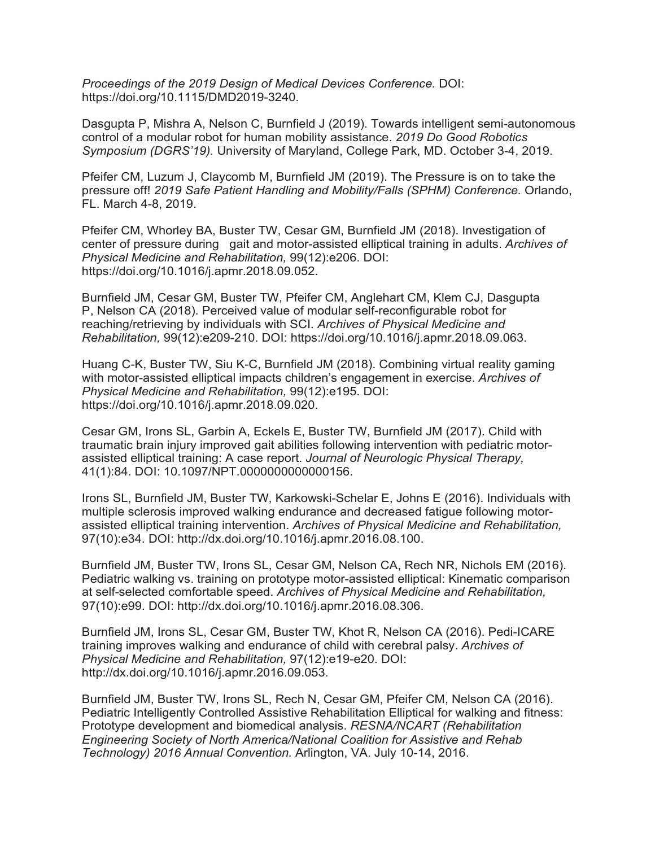*Proceedings of the 2019 Design of Medical Devices Conference.* DOI: https://doi.org/10.1115/DMD2019-3240.

Dasgupta P, Mishra A, Nelson C, Burnfield J (2019). Towards intelligent semi-autonomous control of a modular robot for human mobility assistance. *2019 Do Good Robotics Symposium (DGRS'19).* University of Maryland, College Park, MD. October 3-4, 2019.

Pfeifer CM, Luzum J, Claycomb M, Burnfield JM (2019). The Pressure is on to take the pressure off! *2019 Safe Patient Handling and Mobility/Falls (SPHM) Conference.* Orlando, FL. March 4-8, 2019.

Pfeifer CM, Whorley BA, Buster TW, Cesar GM, Burnfield JM (2018). Investigation of center of pressure during gait and motor-assisted elliptical training in adults. *Archives of Physical Medicine and Rehabilitation,* 99(12):e206. DOI: https://doi.org/10.1016/j.apmr.2018.09.052.

Burnfield JM, Cesar GM, Buster TW, Pfeifer CM, Anglehart CM, Klem CJ, Dasgupta P, Nelson CA (2018). Perceived value of modular self-reconfigurable robot for reaching/retrieving by individuals with SCI. *Archives of Physical Medicine and Rehabilitation,* 99(12):e209-210. DOI: https://doi.org/10.1016/j.apmr.2018.09.063.

Huang C-K, Buster TW, Siu K-C, Burnfield JM (2018). Combining virtual reality gaming with motor-assisted elliptical impacts children's engagement in exercise. *Archives of Physical Medicine and Rehabilitation,* 99(12):e195. DOI: https://doi.org/10.1016/j.apmr.2018.09.020.

Cesar GM, Irons SL, Garbin A, Eckels E, Buster TW, Burnfield JM (2017). Child with traumatic brain injury improved gait abilities following intervention with pediatric motorassisted elliptical training: A case report. *Journal of Neurologic Physical Therapy,* 41(1):84. DOI: 10.1097/NPT.0000000000000156.

Irons SL, Burnfield JM, Buster TW, Karkowski-Schelar E, Johns E (2016). Individuals with multiple sclerosis improved walking endurance and decreased fatigue following motorassisted elliptical training intervention. *Archives of Physical Medicine and Rehabilitation,* 97(10):e34. DOI: [http://dx.doi.org/10.1016/j.apmr.2016.08.100.](http://dx.doi.org/10.1016/j.apmr.2016.08.100)

Burnfield JM, Buster TW, Irons SL, Cesar GM, Nelson CA, Rech NR, Nichols EM (2016). Pediatric walking vs. training on prototype motor-assisted elliptical: Kinematic comparison at self-selected comfortable speed. *Archives of Physical Medicine and Rehabilitation,* 97(10):e99. DOI: [http://dx.doi.org/10.1016/j.apmr.2016.08.306.](http://dx.doi.org/10.1016/j.apmr.2016.08.306)

Burnfield JM, Irons SL, Cesar GM, Buster TW, Khot R, Nelson CA (2016). Pedi-ICARE training improves walking and endurance of child with cerebral palsy. *Archives of Physical Medicine and Rehabilitation,* 97(12):e19-e20. DOI: [http://dx.doi.org/10.1016/j.apmr.2016.09.053.](http://dx.doi.org/10.1016/j.apmr.2016.09.053)

Burnfield JM, Buster TW, Irons SL, Rech N, Cesar GM, Pfeifer CM, Nelson CA (2016). Pediatric Intelligently Controlled Assistive Rehabilitation Elliptical for walking and fitness: Prototype development and biomedical analysis. *RESNA/NCART (Rehabilitation Engineering Society of North America/National Coalition for Assistive and Rehab Technology) 2016 Annual Convention.* Arlington, VA. July 10-14, 2016.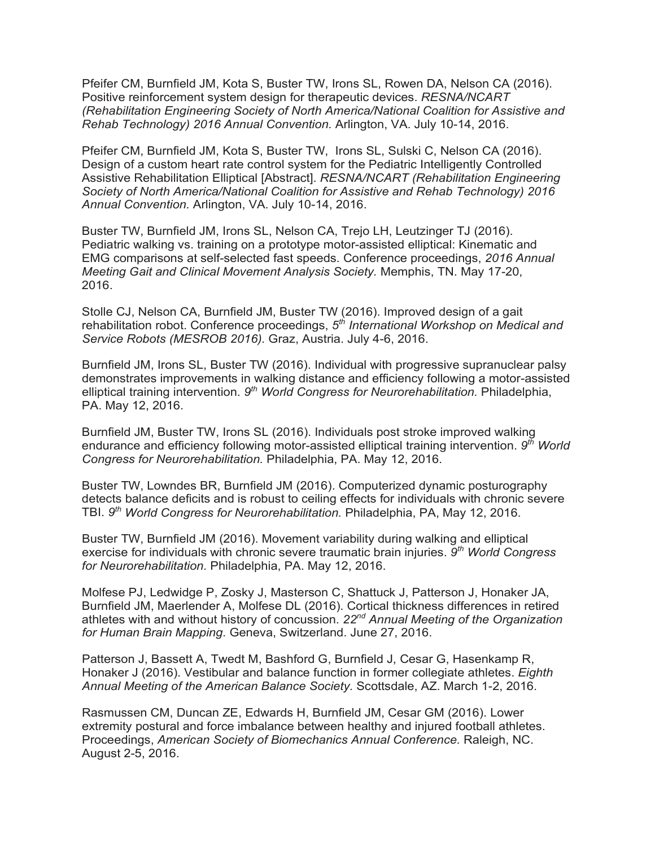Pfeifer CM, Burnfield JM, Kota S, Buster TW, Irons SL, Rowen DA, Nelson CA (2016). Positive reinforcement system design for therapeutic devices. *RESNA/NCART (Rehabilitation Engineering Society of North America/National Coalition for Assistive and Rehab Technology) 2016 Annual Convention.* Arlington, VA. July 10-14, 2016.

Pfeifer CM, Burnfield JM, Kota S, Buster TW, Irons SL, Sulski C, Nelson CA (2016). Design of a custom heart rate control system for the Pediatric Intelligently Controlled Assistive Rehabilitation Elliptical [Abstract]. *RESNA/NCART (Rehabilitation Engineering Society of North America/National Coalition for Assistive and Rehab Technology) 2016 Annual Convention.* Arlington, VA. July 10-14, 2016.

Buster TW, Burnfield JM, Irons SL, Nelson CA, Trejo LH, Leutzinger TJ (2016). Pediatric walking vs. training on a prototype motor-assisted elliptical: Kinematic and EMG comparisons at self-selected fast speeds. Conference proceedings, *2016 Annual Meeting Gait and Clinical Movement Analysis Society.* Memphis, TN. May 17-20, 2016.

Stolle CJ, Nelson CA, Burnfield JM, Buster TW (2016). Improved design of a gait rehabilitation robot. Conference proceedings, *5th International Workshop on Medical and Service Robots (MESROB 2016).* Graz, Austria. July 4-6, 2016.

Burnfield JM, Irons SL, Buster TW (2016). Individual with progressive supranuclear palsy demonstrates improvements in walking distance and efficiency following a motor-assisted elliptical training intervention. *9th World Congress for Neurorehabilitation.* Philadelphia, PA. May 12, 2016.

Burnfield JM, Buster TW, Irons SL (2016). Individuals post stroke improved walking endurance and efficiency following motor-assisted elliptical training intervention. *9th World Congress for Neurorehabilitation.* Philadelphia, PA. May 12, 2016.

Buster TW, Lowndes BR, Burnfield JM (2016). Computerized dynamic posturography detects balance deficits and is robust to ceiling effects for individuals with chronic severe TBI. *9th World Congress for Neurorehabilitation.* Philadelphia, PA, May 12, 2016.

Buster TW, Burnfield JM (2016). Movement variability during walking and elliptical exercise for individuals with chronic severe traumatic brain injuries. *9th World Congress for Neurorehabilitation.* Philadelphia, PA. May 12, 2016.

Molfese PJ, Ledwidge P, Zosky J, Masterson C, Shattuck J, Patterson J, Honaker JA, Burnfield JM, Maerlender A, Molfese DL (2016). Cortical thickness differences in retired athletes with and without history of concussion. *22nd Annual Meeting of the Organization for Human Brain Mapping.* Geneva, Switzerland. June 27, 2016.

Patterson J, Bassett A, Twedt M, Bashford G, Burnfield J, Cesar G, Hasenkamp R, Honaker J (2016). Vestibular and balance function in former collegiate athletes. *Eighth Annual Meeting of the American Balance Society.* Scottsdale, AZ. March 1-2, 2016.

Rasmussen CM, Duncan ZE, Edwards H, Burnfield JM, Cesar GM (2016). Lower extremity postural and force imbalance between healthy and injured football athletes. Proceedings, *American Society of Biomechanics Annual Conference.* Raleigh, NC. August 2-5, 2016.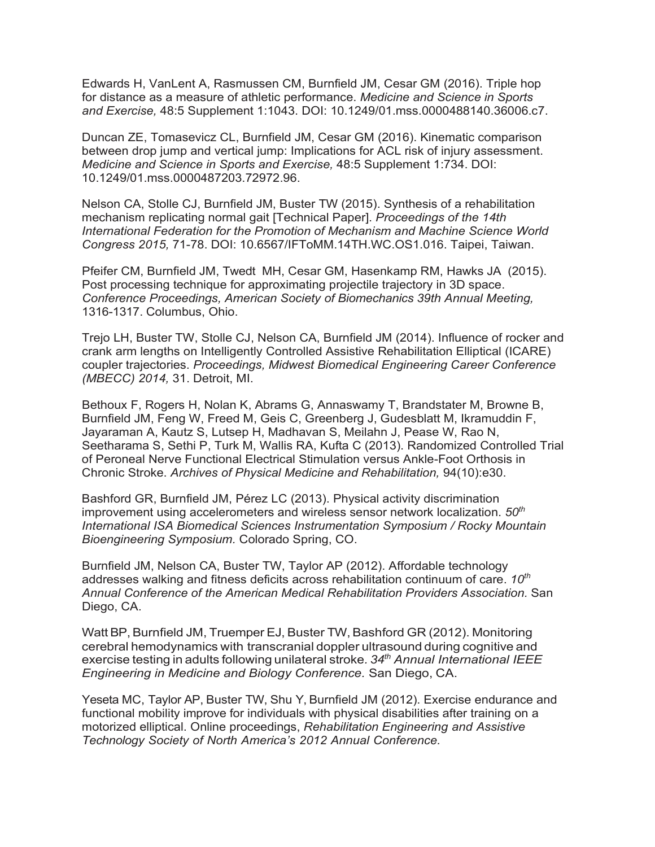Edwards H, VanLent A, Rasmussen CM, Burnfield JM, Cesar GM (2016). Triple hop for distance as a measure of athletic performance. *Medicine and Science in Sports and Exercise,* 48:5 Supplement 1:1043. DOI: 10.1249/01.mss.0000488140.36006.c7.

Duncan ZE, Tomasevicz CL, Burnfield JM, Cesar GM (2016). Kinematic comparison between drop jump and vertical jump: Implications for ACL risk of injury assessment. *Medicine and Science in Sports and Exercise,* 48:5 Supplement 1:734. DOI: 10.1249/01.mss.0000487203.72972.96.

Nelson CA, Stolle CJ, Burnfield JM, Buster TW (2015). Synthesis of a rehabilitation mechanism replicating normal gait [Technical Paper]. *Proceedings of the 14th International Federation for the Promotion of Mechanism and Machine Science World Congress 2015,* 71-78. DOI: 10.6567/IFToMM.14TH.WC.OS1.016. Taipei, Taiwan.

Pfeifer CM, Burnfield JM, Twedt MH, Cesar GM, Hasenkamp RM, Hawks JA (2015). Post processing technique for approximating projectile trajectory in 3D space. *Conference Proceedings, American Society of Biomechanics 39th Annual Meeting,* 1316-1317. Columbus, Ohio.

Trejo LH, Buster TW, Stolle CJ, Nelson CA, Burnfield JM (2014). Influence of rocker and crank arm lengths on Intelligently Controlled Assistive Rehabilitation Elliptical (ICARE) coupler trajectories. *Proceedings, Midwest Biomedical Engineering Career Conference (MBECC) 2014,* 31. Detroit, MI.

Bethoux F, Rogers H, Nolan K, Abrams G, Annaswamy T, Brandstater M, Browne B, Burnfield JM, Feng W, Freed M, Geis C, Greenberg J, Gudesblatt M, Ikramuddin F, Jayaraman A, Kautz S, Lutsep H, Madhavan S, Meilahn J, Pease W, Rao N, Seetharama S, Sethi P, Turk M, Wallis RA, Kufta C (2013). Randomized Controlled Trial of Peroneal Nerve Functional Electrical Stimulation versus Ankle-Foot Orthosis in Chronic Stroke. *Archives of Physical Medicine and Rehabilitation,* 94(10):e30.

Bashford GR, Burnfield JM, Pérez LC (2013). Physical activity discrimination improvement using accelerometers and wireless sensor network localization. *50th International ISA Biomedical Sciences Instrumentation Symposium / Rocky Mountain Bioengineering Symposium.* Colorado Spring, CO.

Burnfield JM, Nelson CA, Buster TW, Taylor AP (2012). Affordable technology addresses walking and fitness deficits across rehabilitation continuum of care. *10th Annual Conference of the American Medical Rehabilitation Providers Association.* San Diego, CA.

Watt BP, Burnfield JM, Truemper EJ, Buster TW, Bashford GR (2012). Monitoring cerebral hemodynamics with transcranial doppler ultrasound during cognitive and exercise testing in adults following unilateral stroke*. 34th Annual International IEEE Engineering in Medicine and Biology Conference.* San Diego, CA.

Yeseta MC, Taylor AP, Buster TW, Shu Y, Burnfield JM (2012). Exercise endurance and functional mobility improve for individuals with physical disabilities after training on a motorized elliptical. Online proceedings, *Rehabilitation Engineering and Assistive Technology Society of North America's 2012 Annual Conference.*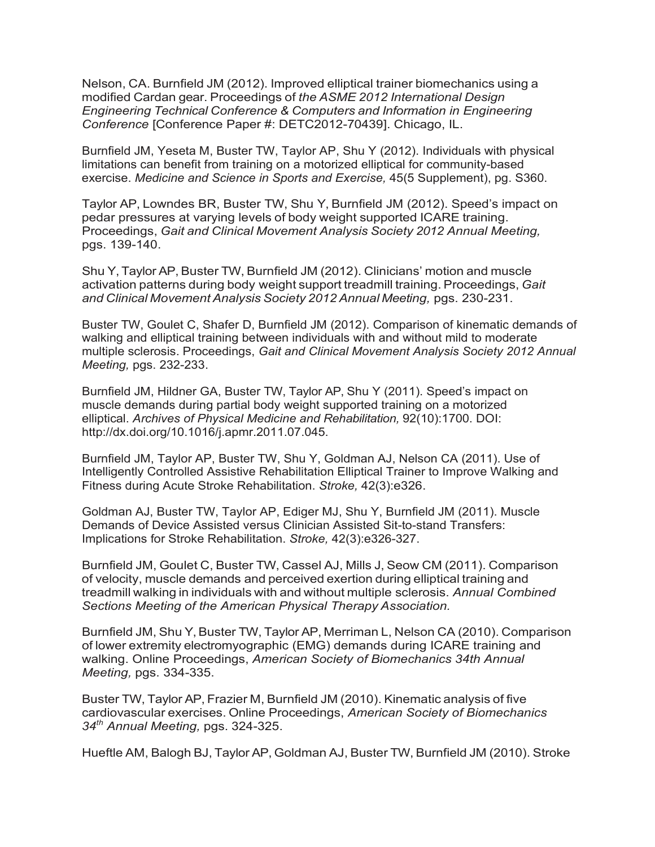Nelson, CA. Burnfield JM (2012). Improved elliptical trainer biomechanics using a modified Cardan gear. Proceedings of *the ASME 2012 International Design Engineering Technical Conference & Computers and Information in Engineering Conference* [Conference Paper #: DETC2012-70439]. Chicago, IL.

Burnfield JM, Yeseta M, Buster TW, Taylor AP, Shu Y (2012). Individuals with physical limitations can benefit from training on a motorized elliptical for community-based exercise. *Medicine and Science in Sports and Exercise,* 45(5 Supplement), pg. S360.

Taylor AP, Lowndes BR, Buster TW, Shu Y, Burnfield JM (2012). Speed's impact on pedar pressures at varying levels of body weight supported ICARE training. Proceedings, *Gait and Clinical Movement Analysis Society 2012 Annual Meeting,* pgs. 139-140.

Shu Y, Taylor AP, Buster TW, Burnfield JM (2012). Clinicians' motion and muscle activation patterns during body weight support treadmill training. Proceedings, *Gait and Clinical MovementAnalysis Society 2012 Annual Meeting,* pgs. 230-231.

Buster TW, Goulet C, Shafer D, Burnfield JM (2012). Comparison of kinematic demands of walking and elliptical training between individuals with and without mild to moderate multiple sclerosis. Proceedings, *Gait and Clinical Movement Analysis Society 2012 Annual Meeting,* pgs. 232-233.

Burnfield JM, Hildner GA, Buster TW, Taylor AP, Shu Y (2011). Speed's impact on muscle demands during partial body weight supported training on a motorized elliptical. *Archives of Physical Medicine and Rehabilitation,* 92(10):1700. DOI: [http://dx.doi.org/10.1016/j.apmr.2011.07.045.](http://dx.doi.org/10.1016/j.apmr.2011.07.045)

Burnfield JM, Taylor AP, Buster TW, Shu Y, Goldman AJ, Nelson CA (2011). Use of Intelligently Controlled Assistive Rehabilitation Elliptical Trainer to Improve Walking and Fitness during Acute Stroke Rehabilitation. *Stroke,* 42(3):e326.

Goldman AJ, Buster TW, Taylor AP, Ediger MJ, Shu Y, Burnfield JM (2011). Muscle Demands of Device Assisted versus Clinician Assisted Sit-to-stand Transfers: Implications for Stroke Rehabilitation. *Stroke,* 42(3):e326-327.

Burnfield JM, Goulet C, Buster TW, Cassel AJ, Mills J, Seow CM (2011). Comparison of velocity, muscle demands and perceived exertion during elliptical training and treadmill walking in individuals with and without multiple sclerosis. *Annual Combined Sections Meeting of the American Physical Therapy Association.*

Burnfield JM, Shu Y, Buster TW, Taylor AP, Merriman L, Nelson CA (2010). Comparison of lower extremity electromyographic (EMG) demands during ICARE training and walking. Online Proceedings, *American Society of Biomechanics 34th Annual Meeting,* pgs. 334-335.

Buster TW, Taylor AP, Frazier M, Burnfield JM (2010). Kinematic analysis of five cardiovascular exercises. Online Proceedings, *American Society of Biomechanics 34th Annual Meeting,* pgs. 324-325.

Hueftle AM, Balogh BJ, Taylor AP, Goldman AJ, Buster TW, Burnfield JM (2010). Stroke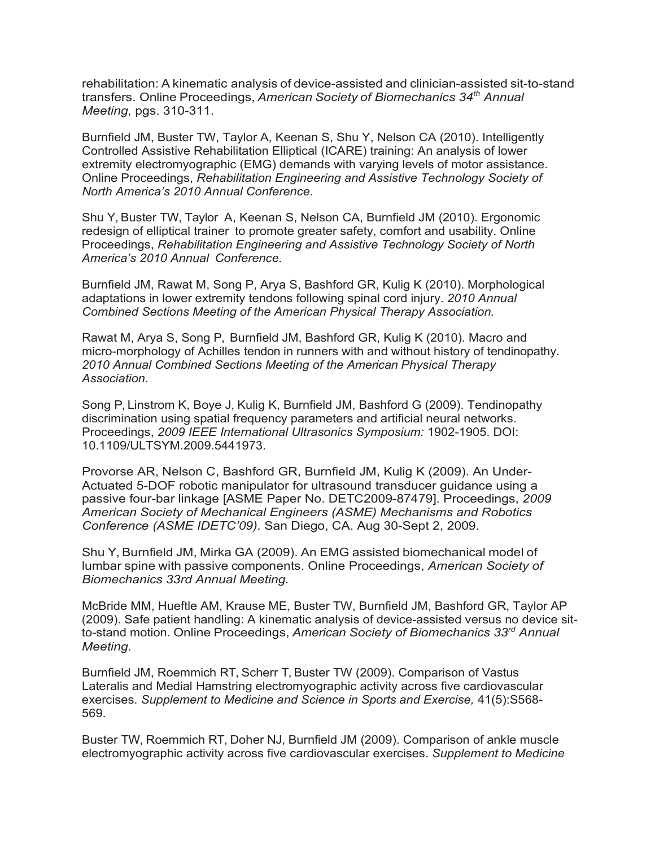rehabilitation: A kinematic analysis of device-assisted and clinician-assisted sit-to-stand transfers. Online Proceedings, *American Society of Biomechanics 34th Annual Meeting,* pgs. 310-311.

Burnfield JM, Buster TW, Taylor A, Keenan S, Shu Y, Nelson CA (2010). Intelligently Controlled Assistive Rehabilitation Elliptical (ICARE) training: An analysis of lower extremity electromyographic (EMG) demands with varying levels of motor assistance. Online Proceedings, *Rehabilitation Engineering and Assistive Technology Society of North America's 2010 Annual Conference.*

Shu Y, Buster TW, Taylor A, Keenan S, Nelson CA, Burnfield JM (2010). Ergonomic redesign of elliptical trainer to promote greater safety, comfort and usability. Online Proceedings, *Rehabilitation Engineering and Assistive Technology Society of North America's 2010 Annual Conference.*

Burnfield JM, Rawat M, Song P, Arya S, Bashford GR, Kulig K (2010). Morphological adaptations in lower extremity tendons following spinal cord injury. *2010 Annual Combined Sections Meeting of the American Physical Therapy Association.*

Rawat M, Arya S, Song P, Burnfield JM, Bashford GR, Kulig K (2010). Macro and micro-morphology of Achilles tendon in runners with and without history of tendinopathy. *2010 Annual Combined Sections Meeting of the American Physical Therapy Association.*

Song P, Linstrom K, Boye J, Kulig K, Burnfield JM, Bashford G (2009). Tendinopathy discrimination using spatial frequency parameters and artificial neural networks. Proceedings, *2009 IEEE International Ultrasonics Symposium:* 1902-1905. DOI: 10.1109/ULTSYM.2009.5441973.

Provorse AR, Nelson C, Bashford GR, Burnfield JM, Kulig K (2009). An Under-Actuated 5-DOF robotic manipulator for ultrasound transducer guidance using a passive four-bar linkage [ASME Paper No. DETC2009-87479]. Proceedings, *2009 American Society of Mechanical Engineers (ASME) Mechanisms and Robotics Conference (ASME IDETC'09).* San Diego, CA. Aug 30-Sept 2, 2009.

Shu Y, Burnfield JM, Mirka GA (2009). An EMG assisted biomechanical model of lumbar spine with passive components. Online Proceedings, *American Society of Biomechanics 33rd Annual Meeting.*

McBride MM, Hueftle AM, Krause ME, Buster TW, Burnfield JM, Bashford GR, Taylor AP (2009). Safe patient handling: A kinematic analysis of device-assisted versus no device sitto-stand motion. Online Proceedings, *American Society of Biomechanics 33rd Annual Meeting.*

Burnfield JM, Roemmich RT, Scherr T, Buster TW (2009). Comparison of Vastus Lateralis and Medial Hamstring electromyographic activity across five cardiovascular exercises. *Supplement to Medicine and Science in Sports and Exercise,* 41(5):S568- 569.

Buster TW, Roemmich RT, Doher NJ, Burnfield JM (2009). Comparison of ankle muscle electromyographic activity across five cardiovascular exercises. *Supplement to Medicine*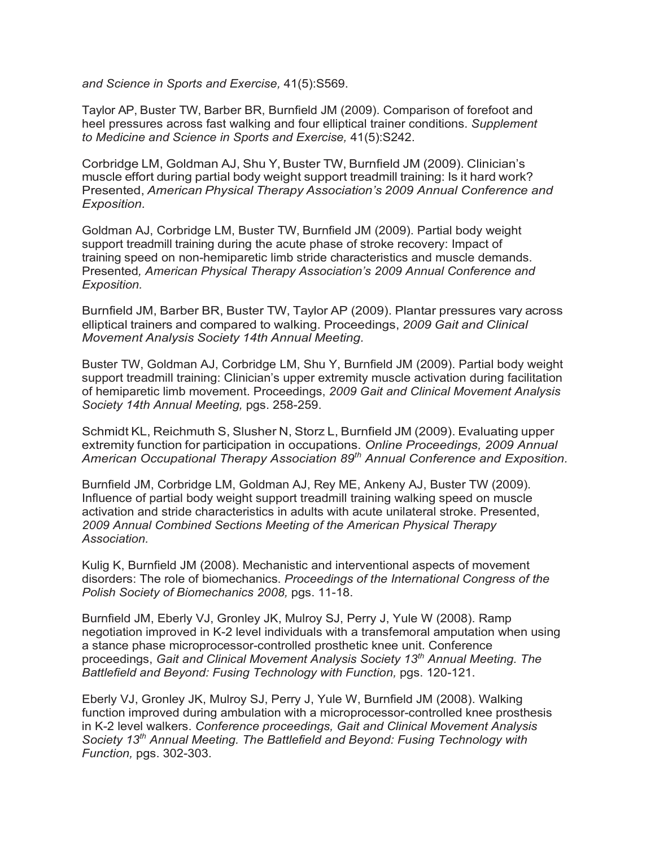*and Science in Sports and Exercise,* 41(5):S569.

Taylor AP, Buster TW, Barber BR, Burnfield JM (2009). Comparison of forefoot and heel pressures across fast walking and four elliptical trainer conditions. *Supplement to Medicine and Science in Sports and Exercise,* 41(5):S242.

Corbridge LM, Goldman AJ, Shu Y, Buster TW, Burnfield JM (2009). Clinician's muscle effort during partial body weight support treadmill training: Is it hard work? Presented, *American Physical Therapy Association's 2009 Annual Conference and Exposition.*

Goldman AJ, Corbridge LM, Buster TW, Burnfield JM (2009). Partial body weight support treadmill training during the acute phase of stroke recovery: Impact of training speed on non-hemiparetic limb stride characteristics and muscle demands. Presented*, American Physical Therapy Association's 2009 Annual Conference and Exposition.*

Burnfield JM, Barber BR, Buster TW, Taylor AP (2009). Plantar pressures vary across elliptical trainers and compared to walking. Proceedings, *2009 Gait and Clinical Movement Analysis Society 14th Annual Meeting.*

Buster TW, Goldman AJ, Corbridge LM, Shu Y, Burnfield JM (2009). Partial body weight support treadmill training: Clinician's upper extremity muscle activation during facilitation of hemiparetic limb movement. Proceedings, *2009 Gait and Clinical Movement Analysis Society 14th Annual Meeting,* pgs. 258-259.

Schmidt KL, Reichmuth S, Slusher N, Storz L, Burnfield JM (2009). Evaluating upper extremity function for participation in occupations. *Online Proceedings, 2009 Annual American Occupational Therapy Association 89th Annual Conference and Exposition.*

Burnfield JM, Corbridge LM, Goldman AJ, Rey ME, Ankeny AJ, Buster TW (2009). Influence of partial body weight support treadmill training walking speed on muscle activation and stride characteristics in adults with acute unilateral stroke. Presented, *2009 Annual Combined Sections Meeting of the American Physical Therapy Association.*

Kulig K, Burnfield JM (2008). Mechanistic and interventional aspects of movement disorders: The role of biomechanics. *Proceedings of the International Congress of the Polish Society of Biomechanics 2008,* pgs. 11-18.

Burnfield JM, Eberly VJ, Gronley JK, Mulroy SJ, Perry J, Yule W (2008). Ramp negotiation improved in K-2 level individuals with a transfemoral amputation when using a stance phase microprocessor-controlled prosthetic knee unit. Conference proceedings, *Gait and Clinical Movement Analysis Society 13th Annual Meeting. The Battlefield and Beyond: Fusing Technology with Function,* pgs. 120-121.

Eberly VJ, Gronley JK, Mulroy SJ, Perry J, Yule W, Burnfield JM (2008). Walking function improved during ambulation with a microprocessor-controlled knee prosthesis in K-2 level walkers. *Conference proceedings, Gait and Clinical Movement Analysis Society 13th Annual Meeting. The Battlefield and Beyond: Fusing Technology with Function,* pgs. 302-303.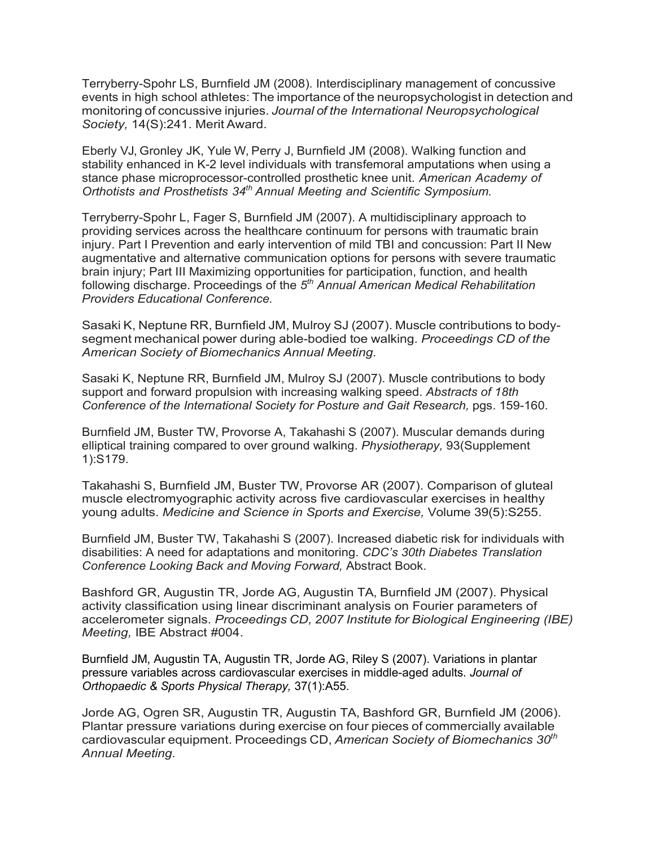Terryberry-Spohr LS, Burnfield JM (2008). Interdisciplinary management of concussive events in high school athletes: The importance of the neuropsychologist in detection and monitoring of concussive injuries. *Journal of the International Neuropsychological Society,* 14(S):241. Merit Award.

Eberly VJ, Gronley JK, Yule W, Perry J, Burnfield JM (2008). Walking function and stability enhanced in K-2 level individuals with transfemoral amputations when using a stance phase microprocessor-controlled prosthetic knee unit. *American Academy of Orthotists and Prosthetists 34th Annual Meeting and Scientific Symposium.*

Terryberry-Spohr L, Fager S, Burnfield JM (2007). A multidisciplinary approach to providing services across the healthcare continuum for persons with traumatic brain injury. Part I Prevention and early intervention of mild TBI and concussion: Part II New augmentative and alternative communication options for persons with severe traumatic brain injury; Part III Maximizing opportunities for participation, function, and health following discharge. Proceedings of the *5th Annual American Medical Rehabilitation Providers Educational Conference.*

Sasaki K, Neptune RR, Burnfield JM, Mulroy SJ (2007). Muscle contributions to bodysegment mechanical power during able-bodied toe walking. *Proceedings CD of the American Society of Biomechanics Annual Meeting.*

Sasaki K, Neptune RR, Burnfield JM, Mulroy SJ (2007). Muscle contributions to body support and forward propulsion with increasing walking speed. *Abstracts of 18th Conference of the International Society for Posture and Gait Research,* pgs. 159-160.

Burnfield JM, Buster TW, Provorse A, Takahashi S (2007). Muscular demands during elliptical training compared to over ground walking. *Physiotherapy,* 93(Supplement 1):S179.

Takahashi S, Burnfield JM, Buster TW, Provorse AR (2007). Comparison of gluteal muscle electromyographic activity across five cardiovascular exercises in healthy young adults. *Medicine and Science in Sports and Exercise,* Volume 39(5):S255.

Burnfield JM, Buster TW, Takahashi S (2007). Increased diabetic risk for individuals with disabilities: A need for adaptations and monitoring. *CDC's 30th Diabetes Translation Conference Looking Back and Moving Forward,* Abstract Book.

Bashford GR, Augustin TR, Jorde AG, Augustin TA, Burnfield JM (2007). Physical activity classification using linear discriminant analysis on Fourier parameters of accelerometer signals. *Proceedings CD, 2007 Institute for Biological Engineering (IBE) Meeting,* IBE Abstract #004.

Burnfield JM, Augustin TA, Augustin TR, Jorde AG, Riley S (2007). Variations in plantar pressure variables across cardiovascular exercises in middle-aged adults. *Journal of Orthopaedic & Sports Physical Therapy,* 37(1):A55.

Jorde AG, Ogren SR, Augustin TR, Augustin TA, Bashford GR, Burnfield JM (2006). Plantar pressure variations during exercise on four pieces of commercially available cardiovascular equipment. Proceedings CD, *American Society of Biomechanics 30th Annual Meeting.*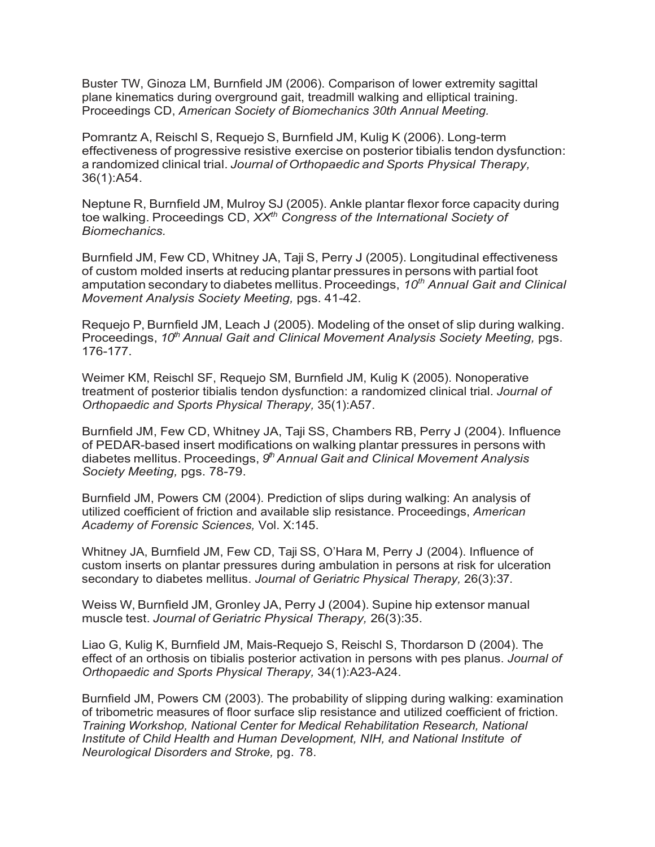Buster TW, Ginoza LM, Burnfield JM (2006). Comparison of lower extremity sagittal plane kinematics during overground gait, treadmill walking and elliptical training. Proceedings CD, *American Society of Biomechanics 30th Annual Meeting.*

Pomrantz A, Reischl S, Requejo S, Burnfield JM, Kulig K (2006). Long-term effectiveness of progressive resistive exercise on posterior tibialis tendon dysfunction: a randomized clinical trial. *Journal of Orthopaedic and Sports Physical Therapy,* 36(1):A54.

Neptune R, Burnfield JM, Mulroy SJ (2005). Ankle plantar flexor force capacity during toe walking. Proceedings CD, *XXth Congress of the International Society of Biomechanics.*

Burnfield JM, Few CD, Whitney JA, Taji S, Perry J (2005). Longitudinal effectiveness of custom molded inserts at reducing plantar pressures in persons with partial foot amputation secondary to diabetes mellitus. Proceedings, 10<sup>th</sup> Annual Gait and Clinical *Movement Analysis Society Meeting,* pgs. 41-42.

Requejo P, Burnfield JM, Leach J (2005). Modeling of the onset of slip during walking. Proceedings, 10<sup>th</sup> Annual Gait and Clinical Movement Analysis Society Meeting, pgs. 176-177.

Weimer KM, Reischl SF, Requejo SM, Burnfield JM, Kulig K (2005). Nonoperative treatment of posterior tibialis tendon dysfunction: a randomized clinical trial. *Journal of Orthopaedic and Sports Physical Therapy,* 35(1):A57.

Burnfield JM, Few CD, Whitney JA, Taji SS, Chambers RB, Perry J (2004). Influence of PEDAR-based insert modifications on walking plantar pressures in persons with diabetes mellitus. Proceedings, 9<sup>th</sup> Annual Gait and Clinical Movement Analysis *Society Meeting,* pgs. 78-79.

Burnfield JM, Powers CM (2004). Prediction of slips during walking: An analysis of utilized coefficient of friction and available slip resistance. Proceedings, *American Academy of Forensic Sciences,* Vol. X:145.

Whitney JA, Burnfield JM, Few CD, Taji SS, O'Hara M, Perry J (2004). Influence of custom inserts on plantar pressures during ambulation in persons at risk for ulceration secondary to diabetes mellitus. *Journal of Geriatric Physical Therapy,* 26(3):37.

Weiss W, Burnfield JM, Gronley JA, Perry J (2004). Supine hip extensor manual muscle test. *Journal of Geriatric Physical Therapy,* 26(3):35.

Liao G, Kulig K, Burnfield JM, Mais-Requejo S, Reischl S, Thordarson D (2004). The effect of an orthosis on tibialis posterior activation in persons with pes planus. *Journal of Orthopaedic and Sports Physical Therapy,* 34(1):A23-A24.

Burnfield JM, Powers CM (2003). The probability of slipping during walking: examination of tribometric measures of floor surface slip resistance and utilized coefficient of friction. *Training Workshop, National Center for Medical Rehabilitation Research, National Institute of Child Health and Human Development, NIH, and National Institute of Neurological Disorders and Stroke,* pg. 78.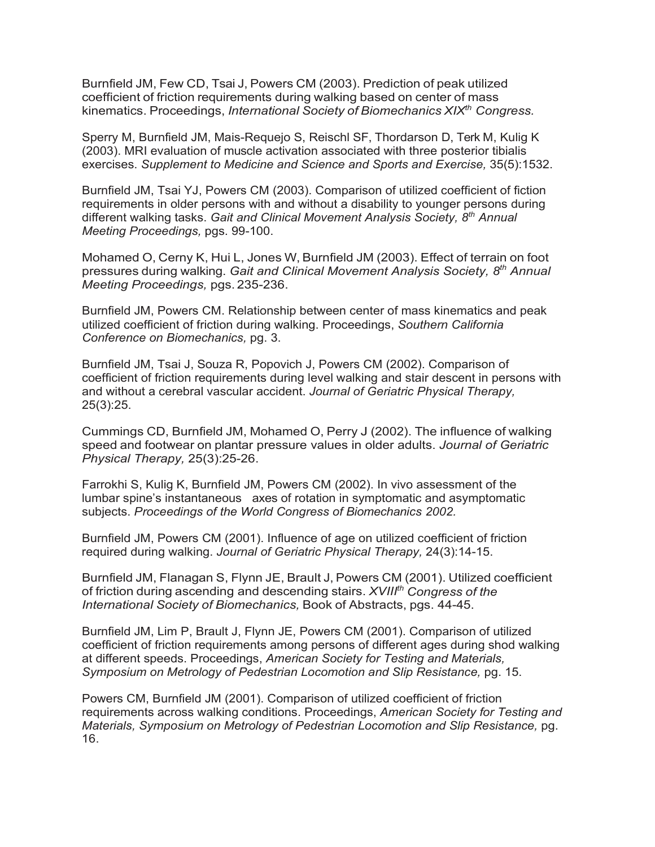Burnfield JM, Few CD, Tsai J, Powers CM (2003). Prediction of peak utilized coefficient of friction requirements during walking based on center of mass kinematics. Proceedings, *International Society of Biomechanics XIXth Congress.*

Sperry M, Burnfield JM, Mais-Requejo S, Reischl SF, Thordarson D, Terk M, Kulig K (2003). MRI evaluation of muscle activation associated with three posterior tibialis exercises. *Supplement to Medicine and Science and Sports and Exercise,* 35(5):1532.

Burnfield JM, Tsai YJ, Powers CM (2003). Comparison of utilized coefficient of fiction requirements in older persons with and without a disability to younger persons during different walking tasks. *Gait and Clinical Movement Analysis Society, 8th Annual Meeting Proceedings,* pgs. 99-100.

Mohamed O, Cerny K, Hui L, Jones W, Burnfield JM (2003). Effect of terrain on foot pressures during walking. *Gait and Clinical Movement Analysis Society, 8th Annual Meeting Proceedings,* pgs. 235-236.

Burnfield JM, Powers CM. Relationship between center of mass kinematics and peak utilized coefficient of friction during walking. Proceedings, *Southern California Conference on Biomechanics,* pg. 3.

Burnfield JM, Tsai J, Souza R, Popovich J, Powers CM (2002). Comparison of coefficient of friction requirements during level walking and stair descent in persons with and without a cerebral vascular accident. *Journal of Geriatric Physical Therapy,* 25(3):25.

Cummings CD, Burnfield JM, Mohamed O, Perry J (2002). The influence of walking speed and footwear on plantar pressure values in older adults. *Journal of Geriatric Physical Therapy,* 25(3):25-26.

Farrokhi S, Kulig K, Burnfield JM, Powers CM (2002). In vivo assessment of the lumbar spine's instantaneous axes of rotation in symptomatic and asymptomatic subjects. *Proceedings of the World Congress of Biomechanics 2002.*

Burnfield JM, Powers CM (2001). Influence of age on utilized coefficient of friction required during walking. *Journal of Geriatric Physical Therapy,* 24(3):14-15.

Burnfield JM, Flanagan S, Flynn JE, Brault J, Powers CM (2001). Utilized coefficient of friction during ascending and descending stairs. *XVIIIth Congress of the International Society of Biomechanics,* Book of Abstracts, pgs. 44-45.

Burnfield JM, Lim P, Brault J, Flynn JE, Powers CM (2001). Comparison of utilized coefficient of friction requirements among persons of different ages during shod walking at different speeds. Proceedings, *American Society for Testing and Materials, Symposium on Metrology of Pedestrian Locomotion and Slip Resistance,* pg. 15.

Powers CM, Burnfield JM (2001). Comparison of utilized coefficient of friction requirements across walking conditions. Proceedings, *American Society for Testing and Materials, Symposium on Metrology of Pedestrian Locomotion and Slip Resistance,* pg. 16.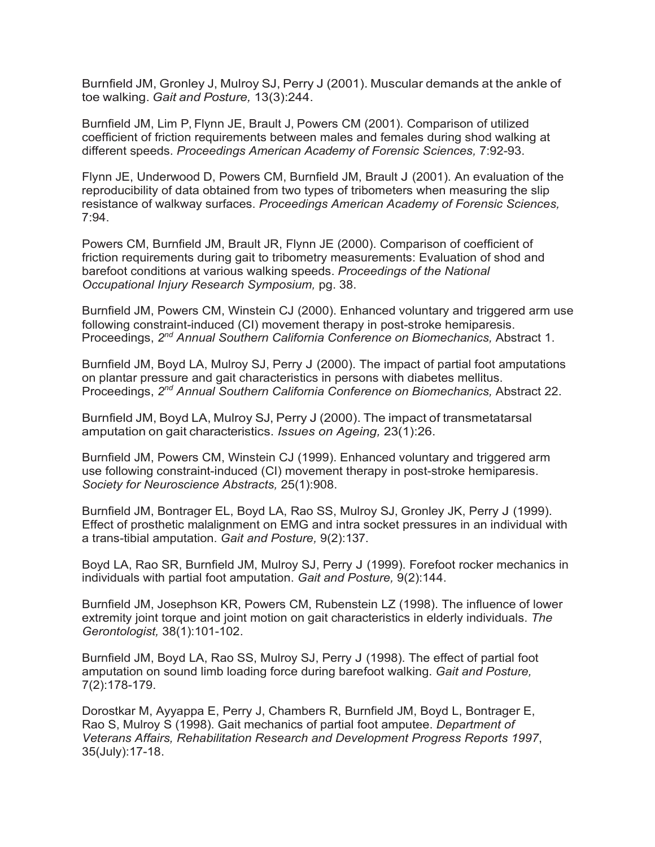Burnfield JM, Gronley J, Mulroy SJ, Perry J (2001). Muscular demands at the ankle of toe walking. *Gait and Posture,* 13(3):244.

Burnfield JM, Lim P, Flynn JE, Brault J, Powers CM (2001). Comparison of utilized coefficient of friction requirements between males and females during shod walking at different speeds. *Proceedings American Academy of Forensic Sciences,* 7:92-93.

Flynn JE, Underwood D, Powers CM, Burnfield JM, Brault J (2001). An evaluation of the reproducibility of data obtained from two types of tribometers when measuring the slip resistance of walkway surfaces. *Proceedings American Academy of Forensic Sciences,* 7:94.

Powers CM, Burnfield JM, Brault JR, Flynn JE (2000). Comparison of coefficient of friction requirements during gait to tribometry measurements: Evaluation of shod and barefoot conditions at various walking speeds. *Proceedings of the National Occupational Injury Research Symposium,* pg. 38.

Burnfield JM, Powers CM, Winstein CJ (2000). Enhanced voluntary and triggered arm use following constraint-induced (CI) movement therapy in post-stroke hemiparesis. Proceedings, *2nd Annual Southern California Conference on Biomechanics,* Abstract 1.

Burnfield JM, Boyd LA, Mulroy SJ, Perry J (2000). The impact of partial foot amputations on plantar pressure and gait characteristics in persons with diabetes mellitus. Proceedings, *2nd Annual Southern California Conference on Biomechanics,* Abstract 22.

Burnfield JM, Boyd LA, Mulroy SJ, Perry J (2000). The impact of transmetatarsal amputation on gait characteristics. *Issues on Ageing,* 23(1):26.

Burnfield JM, Powers CM, Winstein CJ (1999). Enhanced voluntary and triggered arm use following constraint-induced (CI) movement therapy in post-stroke hemiparesis. *Society for Neuroscience Abstracts,* 25(1):908.

Burnfield JM, Bontrager EL, Boyd LA, Rao SS, Mulroy SJ, Gronley JK, Perry J (1999). Effect of prosthetic malalignment on EMG and intra socket pressures in an individual with a trans-tibial amputation. *Gait and Posture,* 9(2):137.

Boyd LA, Rao SR, Burnfield JM, Mulroy SJ, Perry J (1999). Forefoot rocker mechanics in individuals with partial foot amputation. *Gait and Posture,* 9(2):144.

Burnfield JM, Josephson KR, Powers CM, Rubenstein LZ (1998). The influence of lower extremity joint torque and joint motion on gait characteristics in elderly individuals. *The Gerontologist,* 38(1):101-102.

Burnfield JM, Boyd LA, Rao SS, Mulroy SJ, Perry J (1998). The effect of partial foot amputation on sound limb loading force during barefoot walking. *Gait and Posture,* 7(2):178-179.

Dorostkar M, Ayyappa E, Perry J, Chambers R, Burnfield JM, Boyd L, Bontrager E, Rao S, Mulroy S (1998). Gait mechanics of partial foot amputee. *Department of Veterans Affairs, Rehabilitation Research and Development Progress Reports 1997*, 35(July):17-18.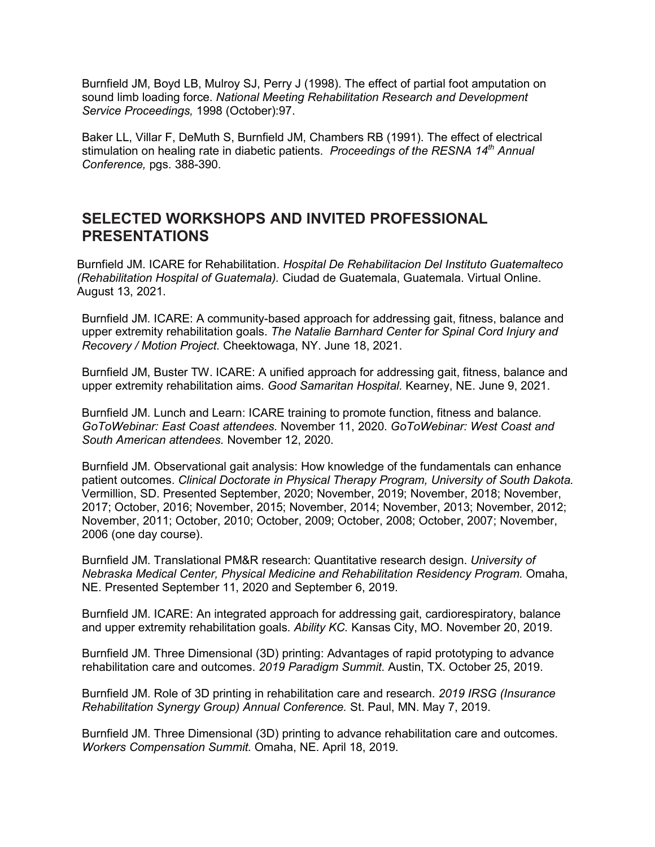Burnfield JM, Boyd LB, Mulroy SJ, Perry J (1998). The effect of partial foot amputation on sound limb loading force. *National Meeting Rehabilitation Research and Development Service Proceedings,* 1998 (October):97.

Baker LL, Villar F, DeMuth S, Burnfield JM, Chambers RB (1991). The effect of electrical stimulation on healing rate in diabetic patients. *Proceedings of the RESNA 14th Annual Conference,* pgs. 388-390.

#### **SELECTED WORKSHOPS AND INVITED PROFESSIONAL PRESENTATIONS**

Burnfield JM. ICARE for Rehabilitation. *Hospital De Rehabilitacion Del Instituto Guatemalteco (Rehabilitation Hospital of Guatemala).* Ciudad de Guatemala, Guatemala. Virtual Online. August 13, 2021.

Burnfield JM. ICARE: A community-based approach for addressing gait, fitness, balance and upper extremity rehabilitation goals. *The Natalie Barnhard Center for Spinal Cord Injury and Recovery / Motion Project.* Cheektowaga, NY. June 18, 2021.

Burnfield JM, Buster TW. ICARE: A unified approach for addressing gait, fitness, balance and upper extremity rehabilitation aims. *Good Samaritan Hospital.* Kearney, NE. June 9, 2021.

Burnfield JM. Lunch and Learn: ICARE training to promote function, fitness and balance. *GoToWebinar: East Coast attendees.* November 11, 2020. *GoToWebinar: West Coast and South American attendees.* November 12, 2020.

Burnfield JM. Observational gait analysis: How knowledge of the fundamentals can enhance patient outcomes. *Clinical Doctorate in Physical Therapy Program, University of South Dakota.* Vermillion, SD. Presented September, 2020; November, 2019; November, 2018; November, 2017; October, 2016; November, 2015; November, 2014; November, 2013; November, 2012; November, 2011; October, 2010; October, 2009; October, 2008; October, 2007; November, 2006 (one day course).

Burnfield JM. Translational PM&R research: Quantitative research design. *University of Nebraska Medical Center, Physical Medicine and Rehabilitation Residency Program.* Omaha, NE. Presented September 11, 2020 and September 6, 2019.

Burnfield JM. ICARE: An integrated approach for addressing gait, cardiorespiratory, balance and upper extremity rehabilitation goals. *Ability KC.* Kansas City, MO. November 20, 2019.

Burnfield JM. Three Dimensional (3D) printing: Advantages of rapid prototyping to advance rehabilitation care and outcomes. *2019 Paradigm Summit.* Austin, TX. October 25, 2019.

Burnfield JM. Role of 3D printing in rehabilitation care and research. *2019 IRSG (Insurance Rehabilitation Synergy Group) Annual Conference.* St. Paul, MN. May 7, 2019.

Burnfield JM. Three Dimensional (3D) printing to advance rehabilitation care and outcomes. *Workers Compensation Summit.* Omaha, NE. April 18, 2019.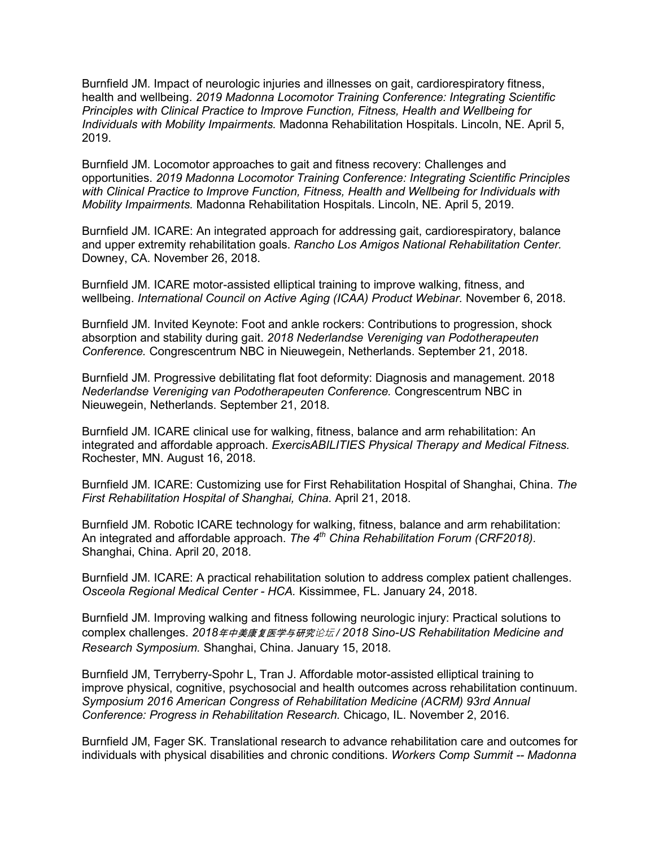Burnfield JM. Impact of neurologic injuries and illnesses on gait, cardiorespiratory fitness, health and wellbeing. *2019 Madonna Locomotor Training Conference: Integrating Scientific Principles with Clinical Practice to Improve Function, Fitness, Health and Wellbeing for Individuals with Mobility Impairments.* Madonna Rehabilitation Hospitals. Lincoln, NE. April 5, 2019.

Burnfield JM. Locomotor approaches to gait and fitness recovery: Challenges and opportunities. *2019 Madonna Locomotor Training Conference: Integrating Scientific Principles with Clinical Practice to Improve Function, Fitness, Health and Wellbeing for Individuals with Mobility Impairments.* Madonna Rehabilitation Hospitals. Lincoln, NE. April 5, 2019.

Burnfield JM. ICARE: An integrated approach for addressing gait, cardiorespiratory, balance and upper extremity rehabilitation goals. *Rancho Los Amigos National Rehabilitation Center.* Downey, CA. November 26, 2018.

Burnfield JM. ICARE motor-assisted elliptical training to improve walking, fitness, and wellbeing. *International Council on Active Aging (ICAA) Product Webinar.* November 6, 2018.

Burnfield JM. Invited Keynote: Foot and ankle rockers: Contributions to progression, shock absorption and stability during gait. *2018 Nederlandse Vereniging van Podotherapeuten Conference.* Congrescentrum NBC in Nieuwegein, Netherlands. September 21, 2018.

Burnfield JM. Progressive debilitating flat foot deformity: Diagnosis and management. 2018 *Nederlandse Vereniging van Podotherapeuten Conference.* Congrescentrum NBC in Nieuwegein, Netherlands. September 21, 2018.

Burnfield JM. ICARE clinical use for walking, fitness, balance and arm rehabilitation: An integrated and affordable approach. *ExercisABILITIES Physical Therapy and Medical Fitness.* Rochester, MN. August 16, 2018.

Burnfield JM. ICARE: Customizing use for First Rehabilitation Hospital of Shanghai, China. *The First Rehabilitation Hospital of Shanghai, China.* April 21, 2018.

Burnfield JM. Robotic ICARE technology for walking, fitness, balance and arm rehabilitation: An integrated and affordable approach. *The 4th China Rehabilitation Forum (CRF2018).* Shanghai, China. April 20, 2018.

Burnfield JM. ICARE: A practical rehabilitation solution to address complex patient challenges. *Osceola Regional Medical Center - HCA.* Kissimmee, FL. January 24, 2018.

Burnfield JM. Improving walking and fitness following neurologic injury: Practical solutions to complex challenges. *2018*年中美康复医学与研究论坛 */ 2018 Sino-US Rehabilitation Medicine and Research Symposium.* Shanghai, China. January 15, 2018.

Burnfield JM, Terryberry-Spohr L, Tran J. Affordable motor-assisted elliptical training to improve physical, cognitive, psychosocial and health outcomes across rehabilitation continuum. *Symposium 2016 American Congress of Rehabilitation Medicine (ACRM) 93rd Annual Conference: Progress in Rehabilitation Research.* Chicago, IL. November 2, 2016.

Burnfield JM, Fager SK. Translational research to advance rehabilitation care and outcomes for individuals with physical disabilities and chronic conditions. *Workers Comp Summit -- Madonna*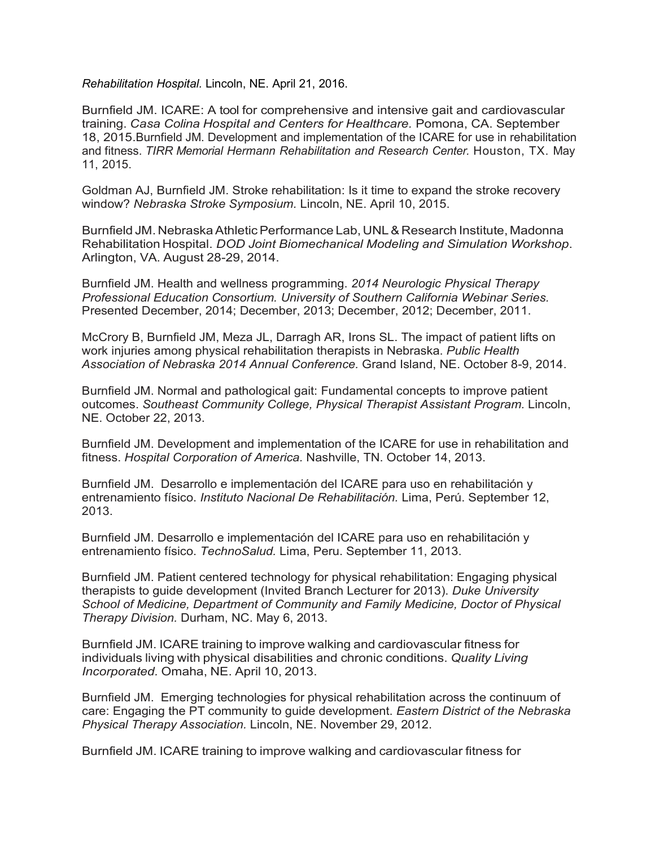*Rehabilitation Hospital.* Lincoln, NE. April 21, 2016.

Burnfield JM. ICARE: A tool for comprehensive and intensive gait and cardiovascular training. *Casa Colina Hospital and Centers for Healthcare.* Pomona, CA. September 18, 2015.Burnfield JM. Development and implementation of the ICARE for use in rehabilitation and fitness. *TIRR Memorial Hermann Rehabilitation and Research Center.* Houston, TX. May 11, 2015.

Goldman AJ, Burnfield JM. Stroke rehabilitation: Is it time to expand the stroke recovery window? *Nebraska Stroke Symposium.* Lincoln, NE. April 10, 2015.

Burnfield JM. NebraskaAthleticPerformance Lab, UNL& Research Institute, Madonna Rehabilitation Hospital. *DOD Joint Biomechanical Modeling and Simulation Workshop*. Arlington, VA. August 28-29, 2014.

Burnfield JM. Health and wellness programming. *2014 Neurologic Physical Therapy Professional Education Consortium. University of Southern California Webinar Series.* Presented December, 2014; December, 2013; December, 2012; December, 2011.

McCrory B, Burnfield JM, Meza JL, Darragh AR, Irons SL. The impact of patient lifts on work injuries among physical rehabilitation therapists in Nebraska. *Public Health Association of Nebraska 2014 Annual Conference.* Grand Island, NE. October 8-9, 2014.

Burnfield JM. Normal and pathological gait: Fundamental concepts to improve patient outcomes. *Southeast Community College, Physical Therapist Assistant Program.* Lincoln, NE. October 22, 2013.

Burnfield JM. Development and implementation of the ICARE for use in rehabilitation and fitness. *Hospital Corporation of America.* Nashville, TN. October 14, 2013.

Burnfield JM. Desarrollo e implementación del ICARE para uso en rehabilitación y entrenamiento físico. *Instituto Nacional De Rehabilitación.* Lima, Perú. September 12, 2013.

Burnfield JM. Desarrollo e implementación del ICARE para uso en rehabilitación y entrenamiento físico. *TechnoSalud.* Lima, Peru. September 11, 2013.

Burnfield JM. Patient centered technology for physical rehabilitation: Engaging physical therapists to guide development (Invited Branch Lecturer for 2013). *Duke University School of Medicine, Department of Community and Family Medicine, Doctor of Physical Therapy Division.* Durham, NC. May 6, 2013.

Burnfield JM. ICARE training to improve walking and cardiovascular fitness for individuals living with physical disabilities and chronic conditions. *Quality Living Incorporated.* Omaha, NE. April 10, 2013.

Burnfield JM. Emerging technologies for physical rehabilitation across the continuum of care: Engaging the PT community to guide development. *Eastern District of the Nebraska Physical Therapy Association.* Lincoln, NE. November 29, 2012.

Burnfield JM. ICARE training to improve walking and cardiovascular fitness for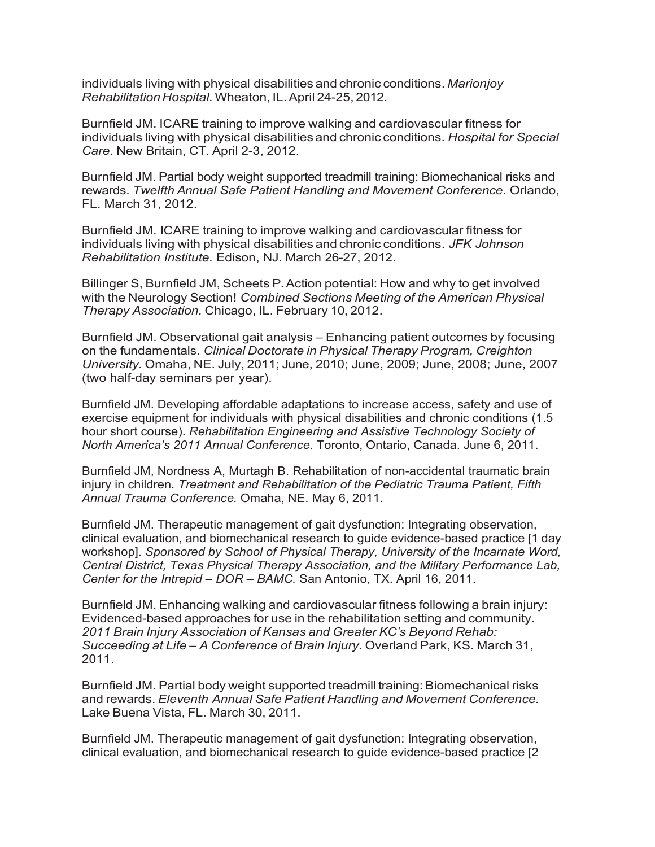individuals living with physical disabilities and chronic conditions. *Marionjoy Rehabilitation Hospital.*Wheaton, IL.April 24-25, 2012.

Burnfield JM. ICARE training to improve walking and cardiovascular fitness for individuals living with physical disabilities and chronic conditions. *Hospital for Special Care.* New Britain, CT. April 2-3, 2012.

Burnfield JM. Partial body weight supported treadmill training: Biomechanical risks and rewards. *Twelfth Annual Safe Patient Handling and Movement Conference.* Orlando, FL. March 31, 2012.

Burnfield JM. ICARE training to improve walking and cardiovascular fitness for individuals living with physical disabilities and chronic conditions. *JFK Johnson Rehabilitation Institute.* Edison, NJ. March 26-27, 2012.

Billinger S, Burnfield JM, Scheets P.Action potential: How and why to get involved with the Neurology Section! *Combined Sections Meeting of the American Physical Therapy Association.* Chicago, IL. February 10, 2012.

Burnfield JM. Observational gait analysis – Enhancing patient outcomes by focusing on the fundamentals. *Clinical Doctorate in Physical Therapy Program, Creighton University.* Omaha, NE. July, 2011; June, 2010; June, 2009; June, 2008; June, 2007 (two half-day seminars per year).

Burnfield JM. Developing affordable adaptations to increase access, safety and use of exercise equipment for individuals with physical disabilities and chronic conditions (1.5 hour short course). *Rehabilitation Engineering and Assistive Technology Society of North America's 2011 Annual Conference.* Toronto, Ontario, Canada. June 6, 2011.

Burnfield JM, Nordness A, Murtagh B. Rehabilitation of non-accidental traumatic brain injury in children. *Treatment and Rehabilitation of the Pediatric Trauma Patient, Fifth Annual Trauma Conference.* Omaha, NE. May 6, 2011.

Burnfield JM. Therapeutic management of gait dysfunction: Integrating observation, clinical evaluation, and biomechanical research to guide evidence-based practice [1 day workshop]. *Sponsored by School of Physical Therapy, University of the Incarnate Word, Central District, Texas Physical Therapy Association, and the Military Performance Lab, Center for the Intrepid – DOR – BAMC.* San Antonio, TX. April 16, 2011.

Burnfield JM. Enhancing walking and cardiovascular fitness following a brain injury: Evidenced-based approaches for use in the rehabilitation setting and community. *2011 Brain Injury Association of Kansas and Greater KC's Beyond Rehab: Succeeding at Life – A Conference of Brain Injury.* Overland Park, KS. March 31, 2011.

Burnfield JM. Partial body weight supported treadmill training: Biomechanical risks and rewards. *Eleventh Annual Safe Patient Handling and Movement Conference.* Lake Buena Vista, FL. March 30, 2011.

Burnfield JM. Therapeutic management of gait dysfunction: Integrating observation, clinical evaluation, and biomechanical research to guide evidence-based practice [2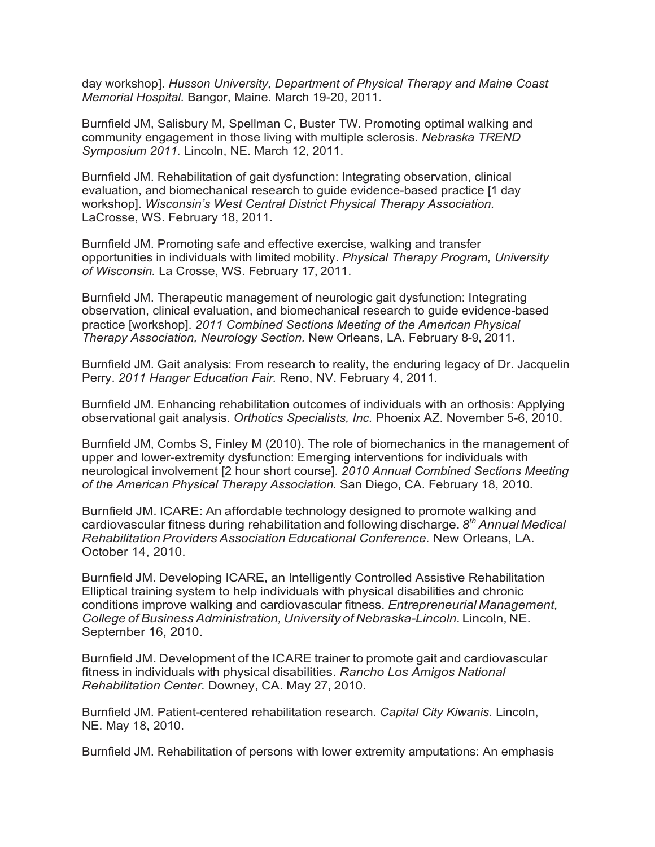day workshop]. *Husson University, Department of Physical Therapy and Maine Coast Memorial Hospital.* Bangor, Maine. March 19-20, 2011.

Burnfield JM, Salisbury M, Spellman C, Buster TW. Promoting optimal walking and community engagement in those living with multiple sclerosis. *Nebraska TREND Symposium 2011.* Lincoln, NE. March 12, 2011.

Burnfield JM. Rehabilitation of gait dysfunction: Integrating observation, clinical evaluation, and biomechanical research to guide evidence-based practice [1 day workshop]. *Wisconsin's West Central District Physical Therapy Association.* LaCrosse, WS. February 18, 2011.

Burnfield JM. Promoting safe and effective exercise, walking and transfer opportunities in individuals with limited mobility. *Physical Therapy Program, University of Wisconsin.* La Crosse, WS. February 17, 2011.

Burnfield JM. Therapeutic management of neurologic gait dysfunction: Integrating observation, clinical evaluation, and biomechanical research to guide evidence-based practice [workshop]. *2011 Combined Sections Meeting of the American Physical Therapy Association, Neurology Section.* New Orleans, LA. February 8-9, 2011.

Burnfield JM. Gait analysis: From research to reality, the enduring legacy of Dr. Jacquelin Perry. *2011 Hanger Education Fair.* Reno, NV. February 4, 2011.

Burnfield JM. Enhancing rehabilitation outcomes of individuals with an orthosis: Applying observational gait analysis. *Orthotics Specialists, Inc.* Phoenix AZ. November 5-6, 2010.

Burnfield JM, Combs S, Finley M (2010). The role of biomechanics in the management of upper and lower-extremity dysfunction: Emerging interventions for individuals with neurological involvement [2 hour short course]. *2010 Annual Combined Sections Meeting of the American Physical Therapy Association.* San Diego, CA. February 18, 2010.

Burnfield JM. ICARE: An affordable technology designed to promote walking and cardiovascular fitness during rehabilitation and following discharge. *8th Annual Medical Rehabilitation Providers Association Educational Conference.* New Orleans, LA. October 14, 2010.

Burnfield JM. Developing ICARE, an Intelligently Controlled Assistive Rehabilitation Elliptical training system to help individuals with physical disabilities and chronic conditions improve walking and cardiovascular fitness. *Entrepreneurial Management, College of Business Administration, University of Nebraska-Lincoln.* Lincoln, NE. September 16, 2010.

Burnfield JM. Development of the ICARE trainer to promote gait and cardiovascular fitness in individuals with physical disabilities. *Rancho Los Amigos National Rehabilitation Center.* Downey, CA. May 27, 2010.

Burnfield JM. Patient-centered rehabilitation research. *Capital City Kiwanis.* Lincoln, NE. May 18, 2010.

Burnfield JM. Rehabilitation of persons with lower extremity amputations: An emphasis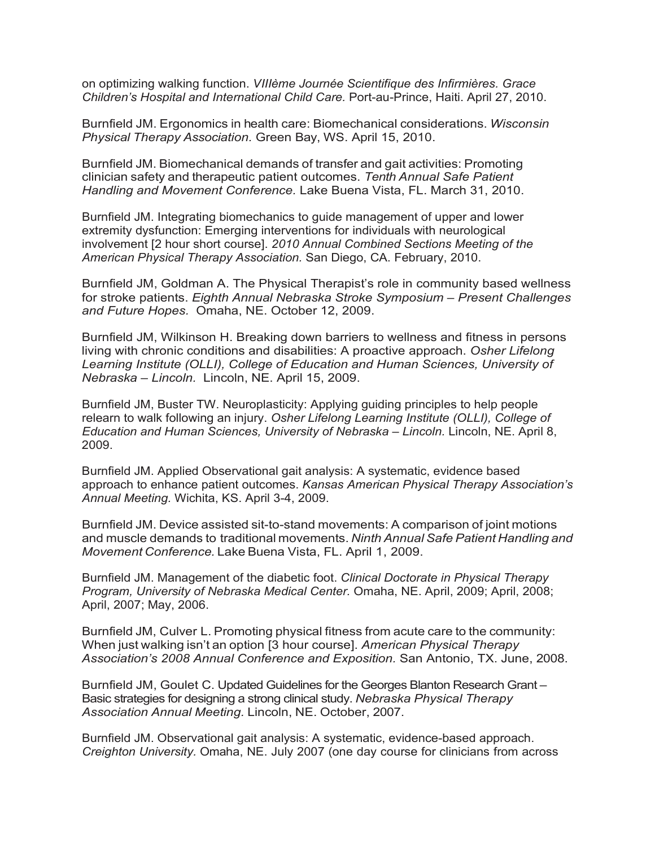on optimizing walking function. *VIIIème Journée Scientifique des Infirmières. Grace Children's Hospital and International Child Care.* Port-au-Prince, Haiti. April 27, 2010.

Burnfield JM. Ergonomics in health care: Biomechanical considerations. *Wisconsin Physical Therapy Association.* Green Bay, WS. April 15, 2010.

Burnfield JM. Biomechanical demands of transfer and gait activities: Promoting clinician safety and therapeutic patient outcomes. *Tenth Annual Safe Patient Handling and Movement Conference.* Lake Buena Vista, FL. March 31, 2010.

Burnfield JM. Integrating biomechanics to guide management of upper and lower extremity dysfunction: Emerging interventions for individuals with neurological involvement [2 hour short course]. *2010 Annual Combined Sections Meeting of the American Physical Therapy Association.* San Diego, CA. February, 2010.

Burnfield JM, Goldman A. The Physical Therapist's role in community based wellness for stroke patients. *Eighth Annual Nebraska Stroke Symposium – Present Challenges and Future Hopes.* Omaha, NE. October 12, 2009.

Burnfield JM, Wilkinson H. Breaking down barriers to wellness and fitness in persons living with chronic conditions and disabilities: A proactive approach. *Osher Lifelong Learning Institute (OLLI), College of Education and Human Sciences, University of Nebraska – Lincoln.* Lincoln, NE. April 15, 2009.

Burnfield JM, Buster TW. Neuroplasticity: Applying guiding principles to help people relearn to walk following an injury. *Osher Lifelong Learning Institute (OLLI), College of Education and Human Sciences, University of Nebraska – Lincoln.* Lincoln, NE. April 8, 2009.

Burnfield JM. Applied Observational gait analysis: A systematic, evidence based approach to enhance patient outcomes. *Kansas American Physical Therapy Association's Annual Meeting.* Wichita, KS. April 3-4, 2009.

Burnfield JM. Device assisted sit-to-stand movements: A comparison of joint motions and muscle demands to traditional movements. *Ninth Annual Safe Patient Handling and Movement Conference.* Lake Buena Vista, FL. April 1, 2009.

Burnfield JM. Management of the diabetic foot. *Clinical Doctorate in Physical Therapy Program, University of Nebraska Medical Center.* Omaha, NE. April, 2009; April, 2008; April, 2007; May, 2006.

Burnfield JM, Culver L. Promoting physical fitness from acute care to the community: When just walking isn't an option [3 hour course]. *American Physical Therapy Association's 2008 Annual Conference and Exposition.* San Antonio, TX. June, 2008.

Burnfield JM, Goulet C. Updated Guidelines for the Georges Blanton Research Grant – Basic strategies for designing a strong clinical study. *Nebraska Physical Therapy Association Annual Meeting.* Lincoln, NE. October, 2007.

Burnfield JM. Observational gait analysis: A systematic, evidence-based approach. *Creighton University.* Omaha, NE. July 2007 (one day course for clinicians from across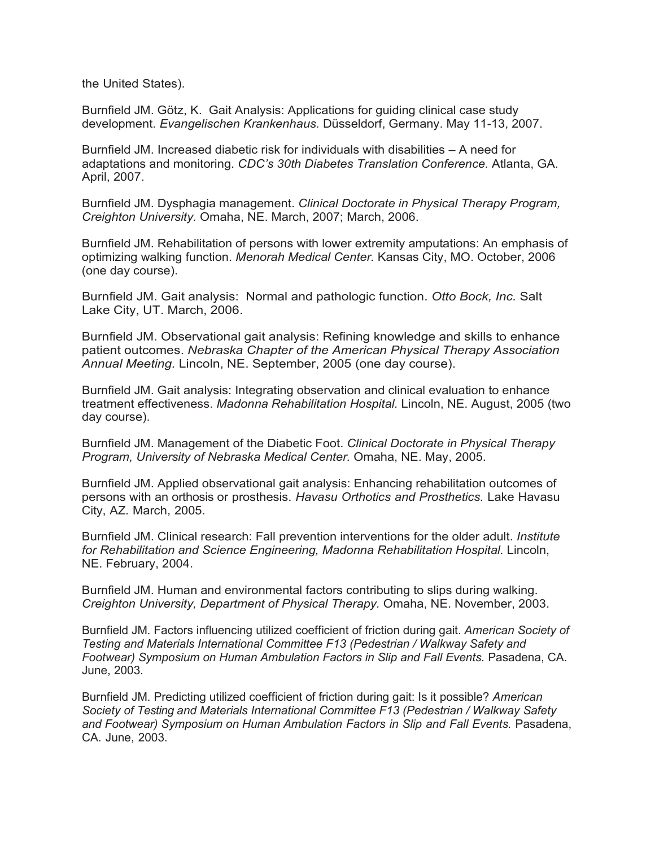the United States).

Burnfield JM. Götz, K. Gait Analysis: Applications for guiding clinical case study development. *Evangelischen Krankenhaus.* Düsseldorf, Germany. May 11-13, 2007.

Burnfield JM. Increased diabetic risk for individuals with disabilities – A need for adaptations and monitoring. *CDC's 30th Diabetes Translation Conference.* Atlanta, GA. April, 2007.

Burnfield JM. Dysphagia management. *Clinical Doctorate in Physical Therapy Program, Creighton University.* Omaha, NE. March, 2007; March, 2006.

Burnfield JM. Rehabilitation of persons with lower extremity amputations: An emphasis of optimizing walking function. *Menorah Medical Center.* Kansas City, MO. October, 2006 (one day course).

Burnfield JM. Gait analysis: Normal and pathologic function. *Otto Bock, Inc.* Salt Lake City, UT. March, 2006.

Burnfield JM. Observational gait analysis: Refining knowledge and skills to enhance patient outcomes. *Nebraska Chapter of the American Physical Therapy Association Annual Meeting.* Lincoln, NE. September, 2005 (one day course).

Burnfield JM. Gait analysis: Integrating observation and clinical evaluation to enhance treatment effectiveness. *Madonna Rehabilitation Hospital.* Lincoln, NE. August, 2005 (two day course).

Burnfield JM. Management of the Diabetic Foot. *Clinical Doctorate in Physical Therapy Program, University of Nebraska Medical Center.* Omaha, NE. May, 2005.

Burnfield JM. Applied observational gait analysis: Enhancing rehabilitation outcomes of persons with an orthosis or prosthesis. *Havasu Orthotics and Prosthetics.* Lake Havasu City, AZ. March, 2005.

Burnfield JM. Clinical research: Fall prevention interventions for the older adult. *Institute for Rehabilitation and Science Engineering, Madonna Rehabilitation Hospital.* Lincoln, NE. February, 2004.

Burnfield JM. Human and environmental factors contributing to slips during walking. *Creighton University, Department of Physical Therapy.* Omaha, NE. November, 2003.

Burnfield JM. Factors influencing utilized coefficient of friction during gait. *American Society of Testing and Materials International Committee F13 (Pedestrian / Walkway Safety and Footwear) Symposium on Human Ambulation Factors in Slip and Fall Events.* Pasadena, CA. June, 2003.

Burnfield JM. Predicting utilized coefficient of friction during gait: Is it possible? *American Society of Testing and Materials International Committee F13 (Pedestrian / Walkway Safety and Footwear) Symposium on Human Ambulation Factors in Slip and Fall Events.* Pasadena, CA. June, 2003.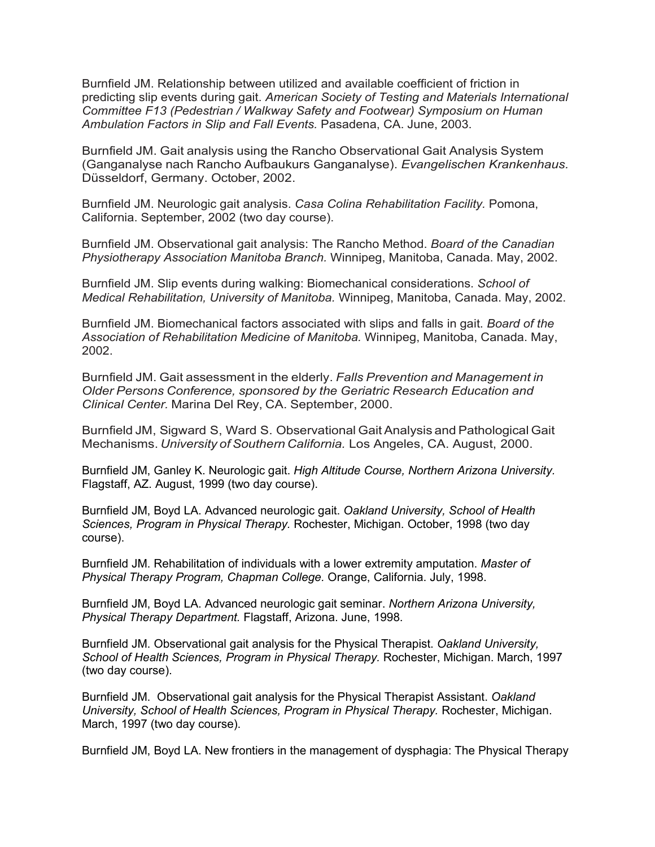Burnfield JM. Relationship between utilized and available coefficient of friction in predicting slip events during gait. *American Society of Testing and Materials International Committee F13 (Pedestrian / Walkway Safety and Footwear) Symposium on Human Ambulation Factors in Slip and Fall Events.* Pasadena, CA. June, 2003.

Burnfield JM. Gait analysis using the Rancho Observational Gait Analysis System (Ganganalyse nach Rancho Aufbaukurs Ganganalyse). *Evangelischen Krankenhaus.* Düsseldorf, Germany. October, 2002.

Burnfield JM. Neurologic gait analysis. *Casa Colina Rehabilitation Facility.* Pomona, California. September, 2002 (two day course).

Burnfield JM. Observational gait analysis: The Rancho Method. *Board of the Canadian Physiotherapy Association Manitoba Branch.* Winnipeg, Manitoba, Canada. May, 2002.

Burnfield JM. Slip events during walking: Biomechanical considerations. *School of Medical Rehabilitation, University of Manitoba.* Winnipeg, Manitoba, Canada. May, 2002.

Burnfield JM. Biomechanical factors associated with slips and falls in gait. *Board of the Association of Rehabilitation Medicine of Manitoba.* Winnipeg, Manitoba, Canada. May, 2002.

Burnfield JM. Gait assessment in the elderly. *Falls Prevention and Management in Older Persons Conference, sponsored by the Geriatric Research Education and Clinical Center.* Marina Del Rey, CA. September, 2000.

Burnfield JM, Sigward S, Ward S. Observational Gait Analysis and Pathological Gait Mechanisms. *University of Southern California.* Los Angeles, CA. August, 2000.

Burnfield JM, Ganley K. Neurologic gait. *High Altitude Course, Northern Arizona University.* Flagstaff, AZ. August, 1999 (two day course).

Burnfield JM, Boyd LA. Advanced neurologic gait. *Oakland University, School of Health Sciences, Program in Physical Therapy.* Rochester, Michigan. October, 1998 (two day course).

Burnfield JM. Rehabilitation of individuals with a lower extremity amputation. *Master of Physical Therapy Program, Chapman College.* Orange, California. July, 1998.

Burnfield JM, Boyd LA. Advanced neurologic gait seminar. *Northern Arizona University, Physical Therapy Department.* Flagstaff, Arizona. June, 1998.

Burnfield JM. Observational gait analysis for the Physical Therapist. *Oakland University, School of Health Sciences, Program in Physical Therapy.* Rochester, Michigan. March, 1997 (two day course).

Burnfield JM. Observational gait analysis for the Physical Therapist Assistant. *Oakland University, School of Health Sciences, Program in Physical Therapy.* Rochester, Michigan. March, 1997 (two day course).

Burnfield JM, Boyd LA. New frontiers in the management of dysphagia: The Physical Therapy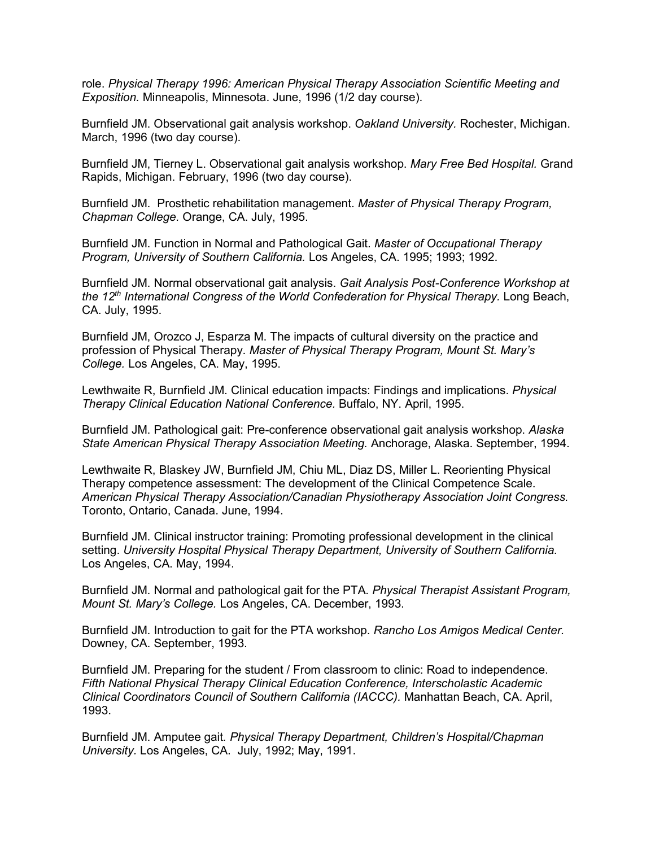role. *Physical Therapy 1996: American Physical Therapy Association Scientific Meeting and Exposition.* Minneapolis, Minnesota. June, 1996 (1/2 day course).

Burnfield JM. Observational gait analysis workshop. *Oakland University.* Rochester, Michigan. March, 1996 (two day course).

Burnfield JM, Tierney L. Observational gait analysis workshop. *Mary Free Bed Hospital.* Grand Rapids, Michigan. February, 1996 (two day course).

Burnfield JM. Prosthetic rehabilitation management. *Master of Physical Therapy Program, Chapman College.* Orange, CA. July, 1995.

Burnfield JM. Function in Normal and Pathological Gait. *Master of Occupational Therapy Program, University of Southern California.* Los Angeles, CA. 1995; 1993; 1992.

Burnfield JM. Normal observational gait analysis. *Gait Analysis Post-Conference Workshop at the 12th International Congress of the World Confederation for Physical Therapy.* Long Beach, CA. July, 1995.

Burnfield JM, Orozco J, Esparza M. The impacts of cultural diversity on the practice and profession of Physical Therapy. *Master of Physical Therapy Program, Mount St. Mary's College.* Los Angeles, CA. May, 1995.

Lewthwaite R, Burnfield JM. Clinical education impacts: Findings and implications. *Physical Therapy Clinical Education National Conference.* Buffalo, NY. April, 1995.

Burnfield JM. Pathological gait: Pre-conference observational gait analysis workshop. *Alaska State American Physical Therapy Association Meeting.* Anchorage, Alaska. September, 1994.

Lewthwaite R, Blaskey JW, Burnfield JM, Chiu ML, Diaz DS, Miller L. Reorienting Physical Therapy competence assessment: The development of the Clinical Competence Scale. *American Physical Therapy Association/Canadian Physiotherapy Association Joint Congress.* Toronto, Ontario, Canada. June, 1994.

Burnfield JM. Clinical instructor training: Promoting professional development in the clinical setting. *University Hospital Physical Therapy Department, University of Southern California.* Los Angeles, CA. May, 1994.

Burnfield JM. Normal and pathological gait for the PTA. *Physical Therapist Assistant Program, Mount St. Mary's College.* Los Angeles, CA. December, 1993.

Burnfield JM. Introduction to gait for the PTA workshop. *Rancho Los Amigos Medical Center.* Downey, CA. September, 1993.

Burnfield JM. Preparing for the student / From classroom to clinic: Road to independence. *Fifth National Physical Therapy Clinical Education Conference, Interscholastic Academic Clinical Coordinators Council of Southern California (IACCC).* Manhattan Beach, CA. April, 1993.

Burnfield JM. Amputee gait*. Physical Therapy Department, Children's Hospital/Chapman University.* Los Angeles, CA. July, 1992; May, 1991.